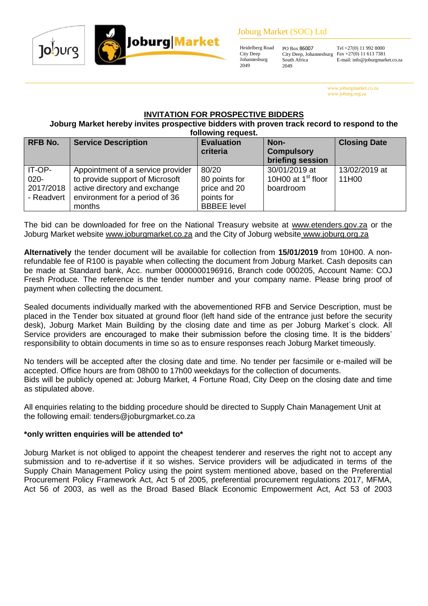#### Joburg Market (SOC) Ltd





Heidelberg Road City Deep Johannesburg PO Box 86007 South Africa 2049

City Deep, Johannesburg

Tel +27(0) 11 992 8000 Fax +27(0) 11 613 7381 E-mail: info@joburgmarket.co.za

www.joburgmarket.co.za www.joburg.org.za

# **INVITATION FOR PROSPECTIVE BIDDERS**

**Joburg Market hereby invites prospective bidders with proven track record to respond to the following request.**

| <b>RFB No.</b> | <b>Service Description</b>        | <b>Evaluation</b><br>criteria | Non-<br><b>Compulsory</b><br>briefing session | <b>Closing Date</b> |
|----------------|-----------------------------------|-------------------------------|-----------------------------------------------|---------------------|
| IT-OP-         | Appointment of a service provider | 80/20                         | 30/01/2019 at                                 | 13/02/2019 at       |
| $020 -$        | to provide support of Microsoft   | 80 points for                 | 10H00 at 1 <sup>st</sup> floor                | 11H00               |
| 2017/2018      | active directory and exchange     | price and 20                  | boardroom                                     |                     |
| - Readvert     | environment for a period of 36    | points for                    |                                               |                     |
|                | months                            | <b>BBBEE</b> level            |                                               |                     |

The bid can be downloaded for free on the National Treasury website at [www.etenders.gov.za](http://www.etenders.gov.za/) or the Joburg Market website [www.joburgmarket.co.za](http://www.joburgmarket.co.za/) and the City of Joburg website [www.joburg.org.za](http://www.joburg.org.za/)

**Alternatively** the tender document will be available for collection from **15/01/2019** from 10H00. A nonrefundable fee of R100 is payable when collecting the document from Joburg Market. Cash deposits can be made at Standard bank, Acc. number 0000000196916, Branch code 000205, Account Name: COJ Fresh Produce. The reference is the tender number and your company name. Please bring proof of payment when collecting the document.

Sealed documents individually marked with the abovementioned RFB and Service Description, must be placed in the Tender box situated at ground floor (left hand side of the entrance just before the security desk), Joburg Market Main Building by the closing date and time as per Joburg Market`s clock. All Service providers are encouraged to make their submission before the closing time. It is the bidders' responsibility to obtain documents in time so as to ensure responses reach Joburg Market timeously.

No tenders will be accepted after the closing date and time. No tender per facsimile or e-mailed will be accepted. Office hours are from 08h00 to 17h00 weekdays for the collection of documents. Bids will be publicly opened at: Joburg Market, 4 Fortune Road, City Deep on the closing date and time as stipulated above.

All enquiries relating to the bidding procedure should be directed to Supply Chain Management Unit at the following email: tenders@joburgmarket.co.za

# **\*only written enquiries will be attended to\***

Joburg Market is not obliged to appoint the cheapest tenderer and reserves the right not to accept any submission and to re-advertise if it so wishes. Service providers will be adjudicated in terms of the Supply Chain Management Policy using the point system mentioned above, based on the Preferential Procurement Policy Framework Act, Act 5 of 2005, preferential procurement regulations 2017, MFMA, Act 56 of 2003, as well as the Broad Based Black Economic Empowerment Act, Act 53 of 2003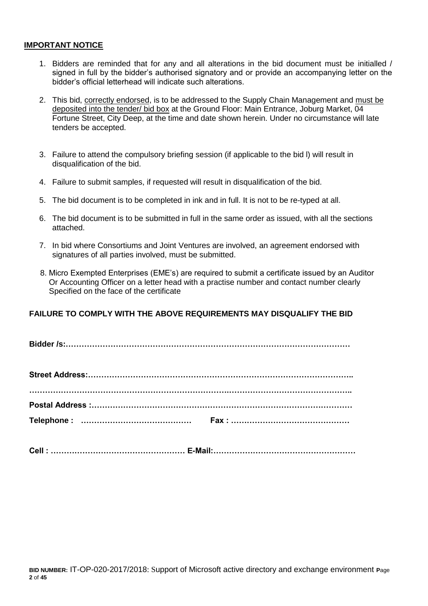#### **IMPORTANT NOTICE**

- 1. Bidders are reminded that for any and all alterations in the bid document must be initialled / signed in full by the bidder's authorised signatory and or provide an accompanying letter on the bidder's official letterhead will indicate such alterations.
- 2. This bid, correctly endorsed, is to be addressed to the Supply Chain Management and must be deposited into the tender/ bid box at the Ground Floor: Main Entrance, Joburg Market, 04 Fortune Street, City Deep, at the time and date shown herein. Under no circumstance will late tenders be accepted.
- 3. Failure to attend the compulsory briefing session (if applicable to the bid l) will result in disqualification of the bid.
- 4. Failure to submit samples, if requested will result in disqualification of the bid.
- 5. The bid document is to be completed in ink and in full. It is not to be re-typed at all.
- 6. The bid document is to be submitted in full in the same order as issued, with all the sections attached.
- 7. In bid where Consortiums and Joint Ventures are involved, an agreement endorsed with signatures of all parties involved, must be submitted.
- 8. Micro Exempted Enterprises (EME's) are required to submit a certificate issued by an Auditor Or Accounting Officer on a letter head with a practise number and contact number clearly Specified on the face of the certificate

# **FAILURE TO COMPLY WITH THE ABOVE REQUIREMENTS MAY DISQUALIFY THE BID**

**Bidder /s:………………………………………………………………………………………………**

| Cell:………………………………………………… E-Mail:………………………………………………… |
|-----------------------------------------------------|
|                                                     |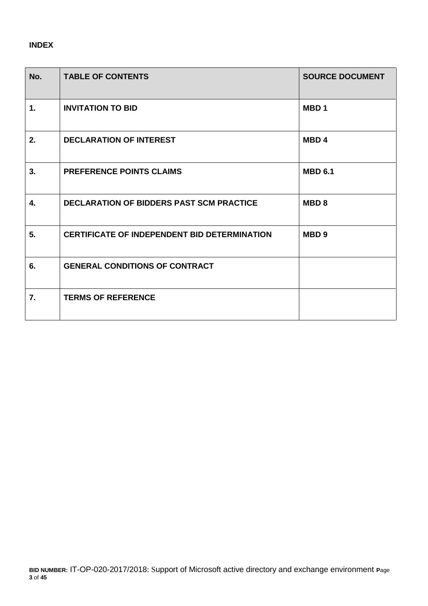# **INDEX**

| No.           | <b>TABLE OF CONTENTS</b>                            | <b>SOURCE DOCUMENT</b> |
|---------------|-----------------------------------------------------|------------------------|
| $\mathbf 1$ . | <b>INVITATION TO BID</b>                            | MBD <sub>1</sub>       |
| 2.            | <b>DECLARATION OF INTEREST</b>                      | <b>MBD4</b>            |
| 3.            | <b>PREFERENCE POINTS CLAIMS</b>                     | <b>MBD 6.1</b>         |
| 4.            | <b>DECLARATION OF BIDDERS PAST SCM PRACTICE</b>     | <b>MBD8</b>            |
| 5.            | <b>CERTIFICATE OF INDEPENDENT BID DETERMINATION</b> | MBD <sub>9</sub>       |
| 6.            | <b>GENERAL CONDITIONS OF CONTRACT</b>               |                        |
| 7.            | <b>TERMS OF REFERENCE</b>                           |                        |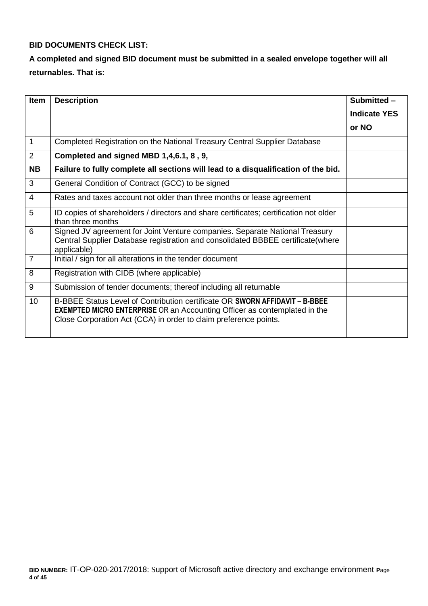# **BID DOCUMENTS CHECK LIST:**

# **A completed and signed BID document must be submitted in a sealed envelope together will all returnables. That is:**

| <b>Item</b>    | <b>Description</b>                                                                                                                                                                                                                  | Submitted -         |
|----------------|-------------------------------------------------------------------------------------------------------------------------------------------------------------------------------------------------------------------------------------|---------------------|
|                |                                                                                                                                                                                                                                     | <b>Indicate YES</b> |
|                |                                                                                                                                                                                                                                     | or NO               |
| $\mathbf 1$    | Completed Registration on the National Treasury Central Supplier Database                                                                                                                                                           |                     |
| 2              | Completed and signed MBD 1,4,6.1, 8, 9,                                                                                                                                                                                             |                     |
| <b>NB</b>      | Failure to fully complete all sections will lead to a disqualification of the bid.                                                                                                                                                  |                     |
| 3              | General Condition of Contract (GCC) to be signed                                                                                                                                                                                    |                     |
| $\overline{4}$ | Rates and taxes account not older than three months or lease agreement                                                                                                                                                              |                     |
| 5              | ID copies of shareholders / directors and share certificates; certification not older<br>than three months                                                                                                                          |                     |
| 6              | Signed JV agreement for Joint Venture companies. Separate National Treasury<br>Central Supplier Database registration and consolidated BBBEE certificate(where<br>applicable)                                                       |                     |
| $\overline{7}$ | Initial / sign for all alterations in the tender document                                                                                                                                                                           |                     |
| 8              | Registration with CIDB (where applicable)                                                                                                                                                                                           |                     |
| 9              | Submission of tender documents; thereof including all returnable                                                                                                                                                                    |                     |
| 10             | B-BBEE Status Level of Contribution certificate OR SWORN AFFIDAVIT - B-BBEE<br><b>EXEMPTED MICRO ENTERPRISE</b> OR an Accounting Officer as contemplated in the<br>Close Corporation Act (CCA) in order to claim preference points. |                     |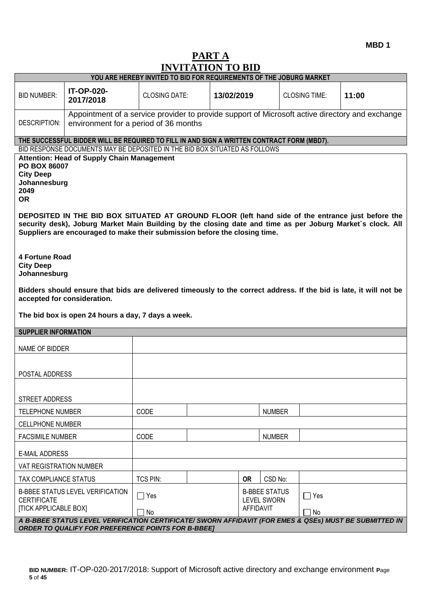**MBD 1**

# **PART A INVITATION TO BID**

| YOU ARE HEREBY INVITED TO BID FOR REQUIREMENTS OF THE JOBURG MARKET<br><b>IT-OP-020-</b><br><b>BID NUMBER:</b><br><b>CLOSING DATE:</b><br>13/02/2019<br><b>CLOSING TIME:</b><br>11:00<br>2017/2018<br>Appointment of a service provider to provide support of Microsoft active directory and exchange<br><b>DESCRIPTION:</b><br>environment for a period of 36 months<br>THE SUCCESSFUL BIDDER WILL BE REQUIRED TO FILL IN AND SIGN A WRITTEN CONTRACT FORM (MBD7).<br>BID RESPONSE DOCUMENTS MAY BE DEPOSITED IN THE BID BOX SITUATED AS FOLLOWS<br><b>Attention: Head of Supply Chain Management</b><br>PO BOX 86007<br><b>City Deep</b><br>Johannesburg<br>2049<br><b>OR</b><br>DEPOSITED IN THE BID BOX SITUATED AT GROUND FLOOR (left hand side of the entrance just before the<br>security desk), Joburg Market Main Building by the closing date and time as per Joburg Market's clock. All<br>Suppliers are encouraged to make their submission before the closing time.<br><b>4 Fortune Road</b><br><b>City Deep</b><br>Johannesburg<br>Bidders should ensure that bids are delivered timeously to the correct address. If the bid is late, it will not be<br>accepted for consideration.<br>The bid box is open 24 hours a day, 7 days a week.<br><b>SUPPLIER INFORMATION</b><br>NAME OF BIDDER<br>POSTAL ADDRESS<br>STREET ADDRESS<br>CODE<br><b>NUMBER</b><br><b>TELEPHONE NUMBER</b><br><b>CELLPHONE NUMBER</b><br>CODE<br><b>FACSIMILE NUMBER</b><br><b>NUMBER</b><br><b>E-MAIL ADDRESS</b><br>VAT REGISTRATION NUMBER<br><b>TCS PIN:</b><br><b>OR</b><br>CSD No:<br>TAX COMPLIANCE STATUS<br><b>B-BBEE STATUS LEVEL VERIFICATION</b><br><b>B-BBEE STATUS</b><br>$\Box$ Yes<br>$\Box$ Yes<br><b>CERTIFICATE</b><br><b>LEVEL SWORN</b><br><b>[TICK APPLICABLE BOX]</b><br><b>AFFIDAVIT</b><br>No<br>No<br>A B-BBEE STATUS LEVEL VERIFICATION CERTIFICATE/ SWORN AFFIDAVIT (FOR EMES & QSEs) MUST BE SUBMITTED IN<br><b>ORDER TO QUALIFY FOR PREFERENCE POINTS FOR B-BBEE]</b> |  | INVITATION TO DID |  |  |  |  |  |  |
|--------------------------------------------------------------------------------------------------------------------------------------------------------------------------------------------------------------------------------------------------------------------------------------------------------------------------------------------------------------------------------------------------------------------------------------------------------------------------------------------------------------------------------------------------------------------------------------------------------------------------------------------------------------------------------------------------------------------------------------------------------------------------------------------------------------------------------------------------------------------------------------------------------------------------------------------------------------------------------------------------------------------------------------------------------------------------------------------------------------------------------------------------------------------------------------------------------------------------------------------------------------------------------------------------------------------------------------------------------------------------------------------------------------------------------------------------------------------------------------------------------------------------------------------------------------------------------------------------------------------------------------------------------------------------------------------------------------------------------------------------------------------------------------------------------------------------------------------------------------------------------------------------------------------------------------------------------------------------------------------|--|-------------------|--|--|--|--|--|--|
|                                                                                                                                                                                                                                                                                                                                                                                                                                                                                                                                                                                                                                                                                                                                                                                                                                                                                                                                                                                                                                                                                                                                                                                                                                                                                                                                                                                                                                                                                                                                                                                                                                                                                                                                                                                                                                                                                                                                                                                            |  |                   |  |  |  |  |  |  |
|                                                                                                                                                                                                                                                                                                                                                                                                                                                                                                                                                                                                                                                                                                                                                                                                                                                                                                                                                                                                                                                                                                                                                                                                                                                                                                                                                                                                                                                                                                                                                                                                                                                                                                                                                                                                                                                                                                                                                                                            |  |                   |  |  |  |  |  |  |
|                                                                                                                                                                                                                                                                                                                                                                                                                                                                                                                                                                                                                                                                                                                                                                                                                                                                                                                                                                                                                                                                                                                                                                                                                                                                                                                                                                                                                                                                                                                                                                                                                                                                                                                                                                                                                                                                                                                                                                                            |  |                   |  |  |  |  |  |  |
|                                                                                                                                                                                                                                                                                                                                                                                                                                                                                                                                                                                                                                                                                                                                                                                                                                                                                                                                                                                                                                                                                                                                                                                                                                                                                                                                                                                                                                                                                                                                                                                                                                                                                                                                                                                                                                                                                                                                                                                            |  |                   |  |  |  |  |  |  |
|                                                                                                                                                                                                                                                                                                                                                                                                                                                                                                                                                                                                                                                                                                                                                                                                                                                                                                                                                                                                                                                                                                                                                                                                                                                                                                                                                                                                                                                                                                                                                                                                                                                                                                                                                                                                                                                                                                                                                                                            |  |                   |  |  |  |  |  |  |
|                                                                                                                                                                                                                                                                                                                                                                                                                                                                                                                                                                                                                                                                                                                                                                                                                                                                                                                                                                                                                                                                                                                                                                                                                                                                                                                                                                                                                                                                                                                                                                                                                                                                                                                                                                                                                                                                                                                                                                                            |  |                   |  |  |  |  |  |  |
|                                                                                                                                                                                                                                                                                                                                                                                                                                                                                                                                                                                                                                                                                                                                                                                                                                                                                                                                                                                                                                                                                                                                                                                                                                                                                                                                                                                                                                                                                                                                                                                                                                                                                                                                                                                                                                                                                                                                                                                            |  |                   |  |  |  |  |  |  |
|                                                                                                                                                                                                                                                                                                                                                                                                                                                                                                                                                                                                                                                                                                                                                                                                                                                                                                                                                                                                                                                                                                                                                                                                                                                                                                                                                                                                                                                                                                                                                                                                                                                                                                                                                                                                                                                                                                                                                                                            |  |                   |  |  |  |  |  |  |
|                                                                                                                                                                                                                                                                                                                                                                                                                                                                                                                                                                                                                                                                                                                                                                                                                                                                                                                                                                                                                                                                                                                                                                                                                                                                                                                                                                                                                                                                                                                                                                                                                                                                                                                                                                                                                                                                                                                                                                                            |  |                   |  |  |  |  |  |  |
|                                                                                                                                                                                                                                                                                                                                                                                                                                                                                                                                                                                                                                                                                                                                                                                                                                                                                                                                                                                                                                                                                                                                                                                                                                                                                                                                                                                                                                                                                                                                                                                                                                                                                                                                                                                                                                                                                                                                                                                            |  |                   |  |  |  |  |  |  |
|                                                                                                                                                                                                                                                                                                                                                                                                                                                                                                                                                                                                                                                                                                                                                                                                                                                                                                                                                                                                                                                                                                                                                                                                                                                                                                                                                                                                                                                                                                                                                                                                                                                                                                                                                                                                                                                                                                                                                                                            |  |                   |  |  |  |  |  |  |
|                                                                                                                                                                                                                                                                                                                                                                                                                                                                                                                                                                                                                                                                                                                                                                                                                                                                                                                                                                                                                                                                                                                                                                                                                                                                                                                                                                                                                                                                                                                                                                                                                                                                                                                                                                                                                                                                                                                                                                                            |  |                   |  |  |  |  |  |  |
|                                                                                                                                                                                                                                                                                                                                                                                                                                                                                                                                                                                                                                                                                                                                                                                                                                                                                                                                                                                                                                                                                                                                                                                                                                                                                                                                                                                                                                                                                                                                                                                                                                                                                                                                                                                                                                                                                                                                                                                            |  |                   |  |  |  |  |  |  |
|                                                                                                                                                                                                                                                                                                                                                                                                                                                                                                                                                                                                                                                                                                                                                                                                                                                                                                                                                                                                                                                                                                                                                                                                                                                                                                                                                                                                                                                                                                                                                                                                                                                                                                                                                                                                                                                                                                                                                                                            |  |                   |  |  |  |  |  |  |
|                                                                                                                                                                                                                                                                                                                                                                                                                                                                                                                                                                                                                                                                                                                                                                                                                                                                                                                                                                                                                                                                                                                                                                                                                                                                                                                                                                                                                                                                                                                                                                                                                                                                                                                                                                                                                                                                                                                                                                                            |  |                   |  |  |  |  |  |  |
|                                                                                                                                                                                                                                                                                                                                                                                                                                                                                                                                                                                                                                                                                                                                                                                                                                                                                                                                                                                                                                                                                                                                                                                                                                                                                                                                                                                                                                                                                                                                                                                                                                                                                                                                                                                                                                                                                                                                                                                            |  |                   |  |  |  |  |  |  |
|                                                                                                                                                                                                                                                                                                                                                                                                                                                                                                                                                                                                                                                                                                                                                                                                                                                                                                                                                                                                                                                                                                                                                                                                                                                                                                                                                                                                                                                                                                                                                                                                                                                                                                                                                                                                                                                                                                                                                                                            |  |                   |  |  |  |  |  |  |
|                                                                                                                                                                                                                                                                                                                                                                                                                                                                                                                                                                                                                                                                                                                                                                                                                                                                                                                                                                                                                                                                                                                                                                                                                                                                                                                                                                                                                                                                                                                                                                                                                                                                                                                                                                                                                                                                                                                                                                                            |  |                   |  |  |  |  |  |  |
|                                                                                                                                                                                                                                                                                                                                                                                                                                                                                                                                                                                                                                                                                                                                                                                                                                                                                                                                                                                                                                                                                                                                                                                                                                                                                                                                                                                                                                                                                                                                                                                                                                                                                                                                                                                                                                                                                                                                                                                            |  |                   |  |  |  |  |  |  |
|                                                                                                                                                                                                                                                                                                                                                                                                                                                                                                                                                                                                                                                                                                                                                                                                                                                                                                                                                                                                                                                                                                                                                                                                                                                                                                                                                                                                                                                                                                                                                                                                                                                                                                                                                                                                                                                                                                                                                                                            |  |                   |  |  |  |  |  |  |
|                                                                                                                                                                                                                                                                                                                                                                                                                                                                                                                                                                                                                                                                                                                                                                                                                                                                                                                                                                                                                                                                                                                                                                                                                                                                                                                                                                                                                                                                                                                                                                                                                                                                                                                                                                                                                                                                                                                                                                                            |  |                   |  |  |  |  |  |  |
|                                                                                                                                                                                                                                                                                                                                                                                                                                                                                                                                                                                                                                                                                                                                                                                                                                                                                                                                                                                                                                                                                                                                                                                                                                                                                                                                                                                                                                                                                                                                                                                                                                                                                                                                                                                                                                                                                                                                                                                            |  |                   |  |  |  |  |  |  |
|                                                                                                                                                                                                                                                                                                                                                                                                                                                                                                                                                                                                                                                                                                                                                                                                                                                                                                                                                                                                                                                                                                                                                                                                                                                                                                                                                                                                                                                                                                                                                                                                                                                                                                                                                                                                                                                                                                                                                                                            |  |                   |  |  |  |  |  |  |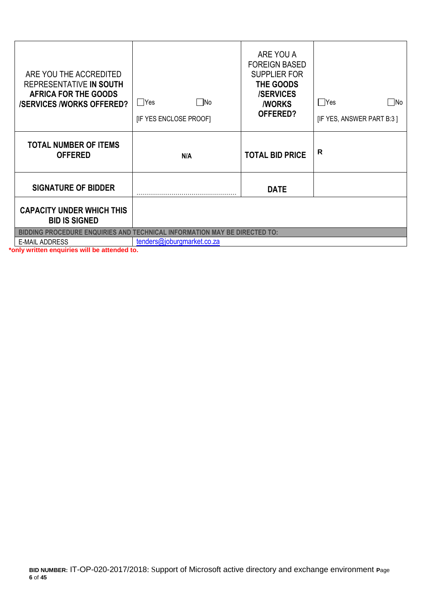| ARE YOU THE ACCREDITED<br>REPRESENTATIVE IN SOUTH<br><b>AFRICA FOR THE GOODS</b><br><b>/SERVICES /WORKS OFFERED?</b> | ∏No<br>Yes<br>[IF YES ENCLOSE PROOF]                                             | ARE YOU A<br><b>FOREIGN BASED</b><br><b>SUPPLIER FOR</b><br>THE GOODS<br><b>/SERVICES</b><br><b><i>NORKS</i></b><br>OFFERED? | $\Box$ Yes<br>   No<br>[IF YES, ANSWER PART B:3] |  |
|----------------------------------------------------------------------------------------------------------------------|----------------------------------------------------------------------------------|------------------------------------------------------------------------------------------------------------------------------|--------------------------------------------------|--|
| <b>TOTAL NUMBER OF ITEMS</b><br><b>OFFERED</b>                                                                       | N/A                                                                              | <b>TOTAL BID PRICE</b>                                                                                                       | R                                                |  |
| <b>SIGNATURE OF BIDDER</b>                                                                                           |                                                                                  | <b>DATE</b>                                                                                                                  |                                                  |  |
| <b>CAPACITY UNDER WHICH THIS</b><br><b>BID IS SIGNED</b>                                                             |                                                                                  |                                                                                                                              |                                                  |  |
|                                                                                                                      | <b>BIDDING PROCEDURE ENQUIRIES AND TECHNICAL INFORMATION MAY BE DIRECTED TO:</b> |                                                                                                                              |                                                  |  |
| <b>E-MAIL ADDRESS</b>                                                                                                | tenders@joburgmarket.co.za                                                       |                                                                                                                              |                                                  |  |

**\*only written enquiries will be attended to.**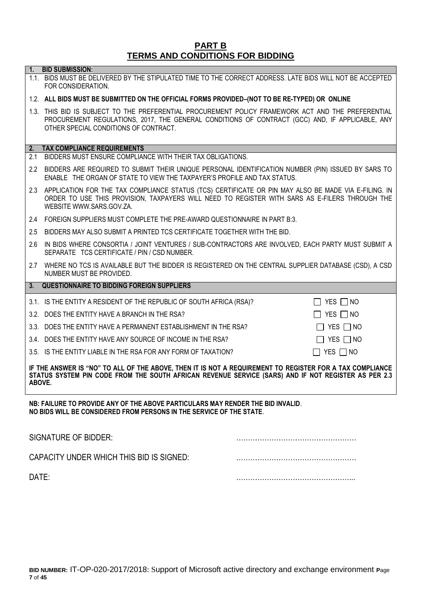# **PART B TERMS AND CONDITIONS FOR BIDDING**

**1. BID SUBMISSION:**

|                                                                                                                                                                                                                           | 1.1. BIDS MUST BE DELIVERED BY THE STIPULATED TIME TO THE CORRECT ADDRESS. LATE BIDS WILL NOT BE ACCEPTED<br>FOR CONSIDERATION.                                                                                                                |                      |  |
|---------------------------------------------------------------------------------------------------------------------------------------------------------------------------------------------------------------------------|------------------------------------------------------------------------------------------------------------------------------------------------------------------------------------------------------------------------------------------------|----------------------|--|
|                                                                                                                                                                                                                           | 1.2. ALL BIDS MUST BE SUBMITTED ON THE OFFICIAL FORMS PROVIDED-(NOT TO BE RE-TYPED) OR ONLINE                                                                                                                                                  |                      |  |
|                                                                                                                                                                                                                           | 1.3. THIS BID IS SUBJECT TO THE PREFERENTIAL PROCUREMENT POLICY FRAMEWORK ACT AND THE PREFERENTIAL<br>PROCUREMENT REGULATIONS, 2017, THE GENERAL CONDITIONS OF CONTRACT (GCC) AND, IF APPLICABLE, ANY<br>OTHER SPECIAL CONDITIONS OF CONTRACT. |                      |  |
|                                                                                                                                                                                                                           | 2. TAX COMPLIANCE REQUIREMENTS                                                                                                                                                                                                                 |                      |  |
| 2.1                                                                                                                                                                                                                       | BIDDERS MUST ENSURE COMPLIANCE WITH THEIR TAX OBLIGATIONS.                                                                                                                                                                                     |                      |  |
|                                                                                                                                                                                                                           | 2.2 BIDDERS ARE REQUIRED TO SUBMIT THEIR UNIQUE PERSONAL IDENTIFICATION NUMBER (PIN) ISSUED BY SARS TO<br>ENABLE THE ORGAN OF STATE TO VIEW THE TAXPAYER'S PROFILE AND TAX STATUS.                                                             |                      |  |
|                                                                                                                                                                                                                           | 2.3 APPLICATION FOR THE TAX COMPLIANCE STATUS (TCS) CERTIFICATE OR PIN MAY ALSO BE MADE VIA E-FILING. IN<br>ORDER TO USE THIS PROVISION, TAXPAYERS WILL NEED TO REGISTER WITH SARS AS E-FILERS THROUGH THE<br>WEBSITE WWW.SARS.GOV.ZA.         |                      |  |
|                                                                                                                                                                                                                           | 2.4 FOREIGN SUPPLIERS MUST COMPLETE THE PRE-AWARD QUESTIONNAIRE IN PART B:3.                                                                                                                                                                   |                      |  |
|                                                                                                                                                                                                                           | 2.5 BIDDERS MAY ALSO SUBMIT A PRINTED TCS CERTIFICATE TOGETHER WITH THE BID.                                                                                                                                                                   |                      |  |
| 2.6                                                                                                                                                                                                                       | IN BIDS WHERE CONSORTIA / JOINT VENTURES / SUB-CONTRACTORS ARE INVOLVED, EACH PARTY MUST SUBMIT A<br>SEPARATE TCS CERTIFICATE / PIN / CSD NUMBER.                                                                                              |                      |  |
|                                                                                                                                                                                                                           | 2.7 WHERE NO TCS IS AVAILABLE BUT THE BIDDER IS REGISTERED ON THE CENTRAL SUPPLIER DATABASE (CSD), A CSD<br>NUMBER MUST BE PROVIDED.                                                                                                           |                      |  |
| 3.                                                                                                                                                                                                                        | <b>QUESTIONNAIRE TO BIDDING FOREIGN SUPPLIERS</b>                                                                                                                                                                                              |                      |  |
|                                                                                                                                                                                                                           | 3.1. IS THE ENTITY A RESIDENT OF THE REPUBLIC OF SOUTH AFRICA (RSA)?                                                                                                                                                                           | YES □ NO             |  |
|                                                                                                                                                                                                                           | 3.2 DOES THE ENTITY HAVE A BRANCH IN THE RSA?                                                                                                                                                                                                  | $\Box$ YES $\Box$ NO |  |
|                                                                                                                                                                                                                           | 3.3. DOES THE ENTITY HAVE A PERMANENT ESTABLISHMENT IN THE RSA?<br>$\perp$                                                                                                                                                                     | YES $\Box$ NO        |  |
|                                                                                                                                                                                                                           | 3.4. DOES THE ENTITY HAVE ANY SOURCE OF INCOME IN THE RSA?<br>$\mathbf{1}$                                                                                                                                                                     | YES $\Box$ No        |  |
|                                                                                                                                                                                                                           | $\Box$ YES $\Box$ NO<br>3.5. IS THE ENTITY LIABLE IN THE RSA FOR ANY FORM OF TAXATION?                                                                                                                                                         |                      |  |
| IF THE ANSWER IS "NO" TO ALL OF THE ABOVE, THEN IT IS NOT A REQUIREMENT TO REGISTER FOR A TAX COMPLIANCE<br>STATUS SYSTEM PIN CODE FROM THE SOUTH AFRICAN REVENUE SERVICE (SARS) AND IF NOT REGISTER AS PER 2.3<br>ABOVE. |                                                                                                                                                                                                                                                |                      |  |

**NB: FAILURE TO PROVIDE ANY OF THE ABOVE PARTICULARS MAY RENDER THE BID INVALID**. **NO BIDS WILL BE CONSIDERED FROM PERSONS IN THE SERVICE OF THE STATE**.

| SIGNATURE OF BIDDER:                     |  |
|------------------------------------------|--|
| CAPACITY UNDER WHICH THIS BID IS SIGNED: |  |
| DATE:                                    |  |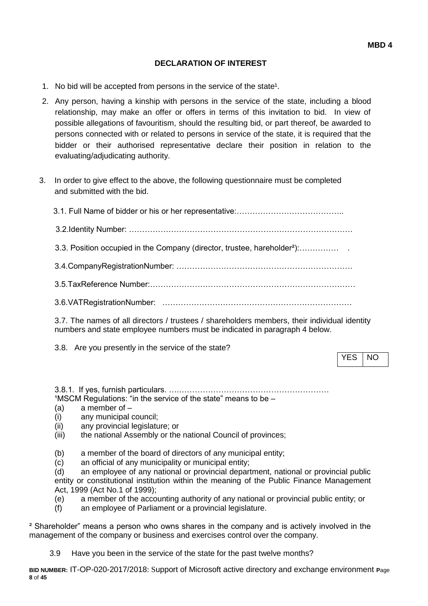#### **DECLARATION OF INTEREST**

- 1. No bid will be accepted from persons in the service of the state<sup>1</sup>.
- 2. Any person, having a kinship with persons in the service of the state, including a blood relationship, may make an offer or offers in terms of this invitation to bid. In view of possible allegations of favouritism, should the resulting bid, or part thereof, be awarded to persons connected with or related to persons in service of the state, it is required that the bidder or their authorised representative declare their position in relation to the evaluating/adjudicating authority.
- 3. In order to give effect to the above, the following questionnaire must be completed and submitted with the bid.

| 3.3. Position occupied in the Company (director, trustee, hareholder <sup>2</sup> ): |
|--------------------------------------------------------------------------------------|
|                                                                                      |
|                                                                                      |
|                                                                                      |
|                                                                                      |

3.7. The names of all directors / trustees / shareholders members, their individual identity numbers and state employee numbers must be indicated in paragraph 4 below.

3.8. Are you presently in the service of the state?

YES INO

3.8.1. If yes, furnish particulars. ….…………………………………………………  $1$ MSCM Regulations: "in the service of the state" means to be  $-$ 

- (a) a member of –
- (i) any municipal council;
- (ii) any provincial legislature; or
- (iii) the national Assembly or the national Council of provinces;
- (b) a member of the board of directors of any municipal entity;
- (c) an official of any municipality or municipal entity;

(d) an employee of any national or provincial department, national or provincial public entity or constitutional institution within the meaning of the Public Finance Management Act, 1999 (Act No.1 of 1999);

- (e) a member of the accounting authority of any national or provincial public entity; or
- (f) an employee of Parliament or a provincial legislature.

² Shareholder" means a person who owns shares in the company and is actively involved in the management of the company or business and exercises control over the company.

3.9 Have you been in the service of the state for the past twelve months?

**BID NUMBER:** IT-OP-020-2017/2018: Support of Microsoft active directory and exchange environment **P**age **8** of **45**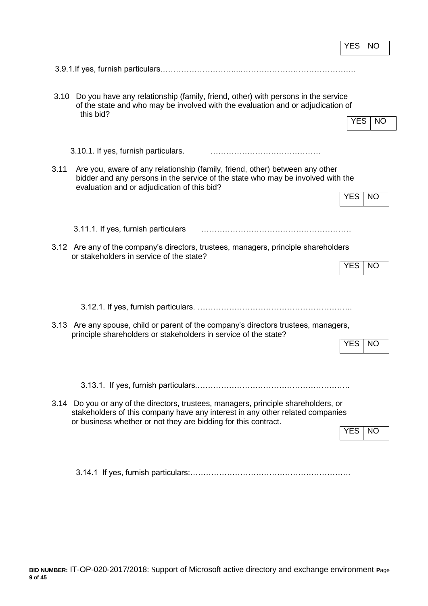|                                                                                                                                                                                                                                        | <b>YES</b><br><b>NO</b> |
|----------------------------------------------------------------------------------------------------------------------------------------------------------------------------------------------------------------------------------------|-------------------------|
|                                                                                                                                                                                                                                        |                         |
|                                                                                                                                                                                                                                        |                         |
| Do you have any relationship (family, friend, other) with persons in the service<br>3.10<br>of the state and who may be involved with the evaluation and or adjudication of<br>this bid?                                               | <b>YES</b><br><b>NO</b> |
| 3.10.1. If yes, furnish particulars.                                                                                                                                                                                                   |                         |
| 3.11<br>Are you, aware of any relationship (family, friend, other) between any other<br>bidder and any persons in the service of the state who may be involved with the<br>evaluation and or adjudication of this bid?                 |                         |
|                                                                                                                                                                                                                                        | <b>YES</b><br><b>NO</b> |
| 3.11.1. If yes, furnish particulars                                                                                                                                                                                                    |                         |
| 3.12 Are any of the company's directors, trustees, managers, principle shareholders<br>or stakeholders in service of the state?                                                                                                        | <b>YES</b>              |
|                                                                                                                                                                                                                                        | <b>NO</b>               |
|                                                                                                                                                                                                                                        |                         |
| Are any spouse, child or parent of the company's directors trustees, managers,<br>3.13<br>principle shareholders or stakeholders in service of the state?                                                                              |                         |
|                                                                                                                                                                                                                                        | <b>YES</b><br><b>NO</b> |
|                                                                                                                                                                                                                                        |                         |
|                                                                                                                                                                                                                                        |                         |
| 3.14 Do you or any of the directors, trustees, managers, principle shareholders, or<br>stakeholders of this company have any interest in any other related companies<br>or business whether or not they are bidding for this contract. |                         |
|                                                                                                                                                                                                                                        | YES.<br>NO.             |
|                                                                                                                                                                                                                                        |                         |

 $\mathbf{r}$ 

3.14.1 If yes, furnish particulars:…………………………………………………….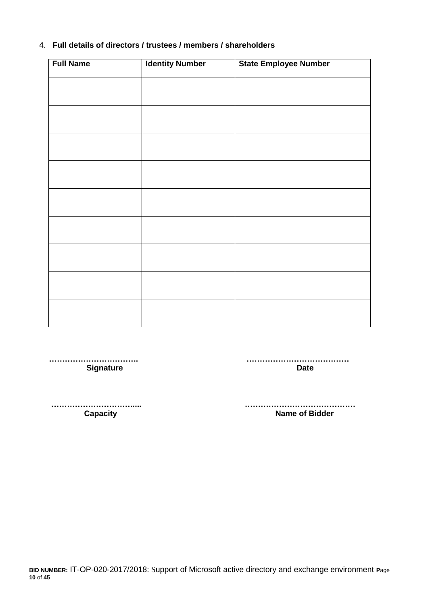# 4. **Full details of directors / trustees / members / shareholders**

| <b>Full Name</b> | <b>Identity Number</b> | <b>State Employee Number</b> |
|------------------|------------------------|------------------------------|
|                  |                        |                              |
|                  |                        |                              |
|                  |                        |                              |
|                  |                        |                              |
|                  |                        |                              |
|                  |                        |                              |
|                  |                        |                              |
|                  |                        |                              |
|                  |                        |                              |
|                  |                        |                              |
|                  |                        |                              |
|                  |                        |                              |
|                  |                        |                              |
|                  |                        |                              |
|                  |                        |                              |
|                  |                        |                              |
|                  |                        |                              |

 **……………………………. ………………………………… Signature Date** 

 **…………………………..... …………………………………… Name of Bidder** 

**BID NUMBER:** IT-OP-020-2017/2018: Support of Microsoft active directory and exchange environment **P**age **10** of **45**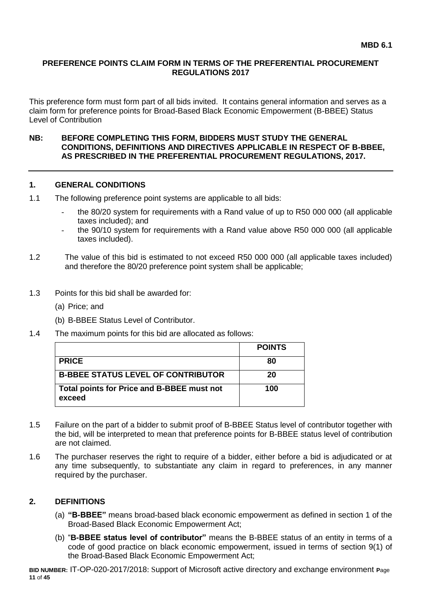#### **PREFERENCE POINTS CLAIM FORM IN TERMS OF THE PREFERENTIAL PROCUREMENT REGULATIONS 2017**

This preference form must form part of all bids invited. It contains general information and serves as a claim form for preference points for Broad-Based Black Economic Empowerment (B-BBEE) Status Level of Contribution

#### **NB: BEFORE COMPLETING THIS FORM, BIDDERS MUST STUDY THE GENERAL CONDITIONS, DEFINITIONS AND DIRECTIVES APPLICABLE IN RESPECT OF B-BBEE, AS PRESCRIBED IN THE PREFERENTIAL PROCUREMENT REGULATIONS, 2017.**

#### **1. GENERAL CONDITIONS**

- 1.1 The following preference point systems are applicable to all bids:
	- the 80/20 system for requirements with a Rand value of up to R50 000 000 (all applicable taxes included); and
	- the 90/10 system for requirements with a Rand value above R50 000 000 (all applicable taxes included).
- 1.2 The value of this bid is estimated to not exceed R50 000 000 (all applicable taxes included) and therefore the 80/20 preference point system shall be applicable;
- 1.3 Points for this bid shall be awarded for:
	- (a) Price; and
	- (b) B-BBEE Status Level of Contributor.
- 1.4 The maximum points for this bid are allocated as follows:

|                                                      | <b>POINTS</b> |
|------------------------------------------------------|---------------|
| <b>PRICE</b>                                         | 80            |
| <b>B-BBEE STATUS LEVEL OF CONTRIBUTOR</b>            | 20            |
| Total points for Price and B-BBEE must not<br>exceed | 100           |

- 1.5 Failure on the part of a bidder to submit proof of B-BBEE Status level of contributor together with the bid, will be interpreted to mean that preference points for B-BBEE status level of contribution are not claimed.
- 1.6 The purchaser reserves the right to require of a bidder, either before a bid is adjudicated or at any time subsequently, to substantiate any claim in regard to preferences, in any manner required by the purchaser.

#### **2. DEFINITIONS**

- (a) **"B-BBEE"** means broad-based black economic empowerment as defined in section 1 of the Broad-Based Black Economic Empowerment Act;
- (b) "**B-BBEE status level of contributor"** means the B-BBEE status of an entity in terms of a code of good practice on black economic empowerment, issued in terms of section 9(1) of the Broad-Based Black Economic Empowerment Act;

**BID NUMBER:** IT-OP-020-2017/2018: Support of Microsoft active directory and exchange environment **P**age **11** of **45**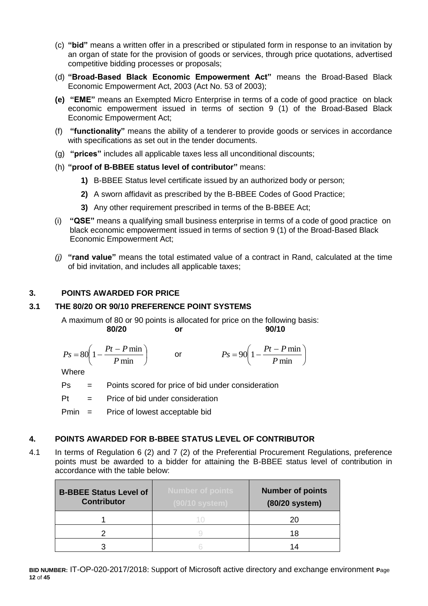- (c) **"bid"** means a written offer in a prescribed or stipulated form in response to an invitation by an organ of state for the provision of goods or services, through price quotations, advertised competitive bidding processes or proposals;
- (d) **"Broad-Based Black Economic Empowerment Act"** means the Broad-Based Black Economic Empowerment Act, 2003 (Act No. 53 of 2003);
- **(e) "EME"** means an Exempted Micro Enterprise in terms of a code of good practice on black economic empowerment issued in terms of section 9 (1) of the Broad-Based Black Economic Empowerment Act;
- (f) **"functionality"** means the ability of a tenderer to provide goods or services in accordance with specifications as set out in the tender documents.
- (g) **"prices"** includes all applicable taxes less all unconditional discounts;
- (h) **"proof of B-BBEE status level of contributor"** means:
	- **1)** B-BBEE Status level certificate issued by an authorized body or person;
	- **2)** A sworn affidavit as prescribed by the B-BBEE Codes of Good Practice;
	- **3)** Any other requirement prescribed in terms of the B-BBEE Act;
- (i) **"QSE"** means a qualifying small business enterprise in terms of a code of good practice on black economic empowerment issued in terms of section 9 (1) of the Broad-Based Black Economic Empowerment Act;
- *(j)* **"rand value"** means the total estimated value of a contract in Rand, calculated at the time of bid invitation, and includes all applicable taxes;

# **3. POINTS AWARDED FOR PRICE**

#### **3.1 THE 80/20 OR 90/10 PREFERENCE POINT SYSTEMS**

A maximum of 80 or 90 points is allocated for price on the following basis: **80/20 or 90/10**

$$
Ps = 80\left(1 - \frac{Pt - P \min P}{ \min}\right) \qquad \text{or} \qquad \qquad Ps = 90\left(1 - \frac{Pt - P \min P}{ \min}\right)
$$

**Where** 

Ps = Points scored for price of bid under consideration

 $Pt =$  Price of bid under consideration

Pmin = Price of lowest acceptable bid

#### **4. POINTS AWARDED FOR B-BBEE STATUS LEVEL OF CONTRIBUTOR**

4.1 In terms of Regulation 6 (2) and 7 (2) of the Preferential Procurement Regulations, preference points must be awarded to a bidder for attaining the B-BBEE status level of contribution in accordance with the table below:

| <b>B-BBEE Status Level of</b><br><b>Contributor</b> | <b>Number of points</b><br>$(90/10$ system) | <b>Number of points</b><br>(80/20 system) |
|-----------------------------------------------------|---------------------------------------------|-------------------------------------------|
|                                                     |                                             | 20                                        |
|                                                     |                                             | 18                                        |
|                                                     |                                             | 14                                        |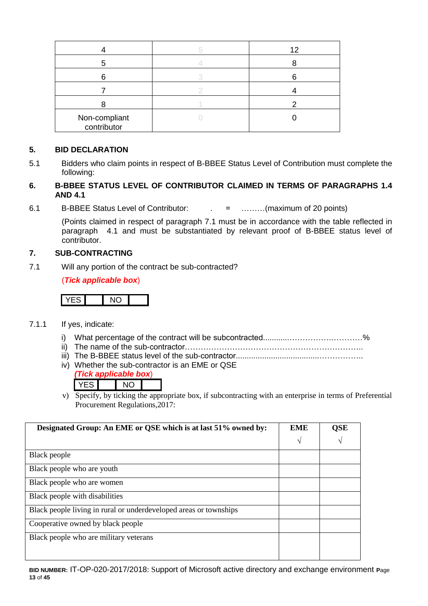|                              | 12 |
|------------------------------|----|
|                              |    |
|                              |    |
|                              |    |
|                              |    |
| Non-compliant<br>contributor |    |

# **5. BID DECLARATION**

5.1 Bidders who claim points in respect of B-BBEE Status Level of Contribution must complete the following:

#### **6. B-BBEE STATUS LEVEL OF CONTRIBUTOR CLAIMED IN TERMS OF PARAGRAPHS 1.4 AND 4.1**

6.1 B-BBEE Status Level of Contributor: . = ………(maximum of 20 points)

(Points claimed in respect of paragraph 7.1 must be in accordance with the table reflected in paragraph 4.1 and must be substantiated by relevant proof of B-BBEE status level of contributor.

#### **7. SUB-CONTRACTING**

7.1 Will any portion of the contract be sub-contracted?

(*Tick applicable box*)

# YES NO

- 7.1.1 If yes, indicate:
	- i) What percentage of the contract will be subcontracted............…………….…………%
	- ii) The name of the sub-contractor…………………………………………………………..
	- iii) The B-BBEE status level of the sub-contractor......................................……………..
	- iv) Whether the sub-contractor is an EME or QSE

|  | ck applicable box) |  |
|--|--------------------|--|
|  | \IC)               |  |

v) Specify, by ticking the appropriate box, if subcontracting with an enterprise in terms of Preferential Procurement Regulations,2017:

| Designated Group: An EME or QSE which is at last 51% owned by:    | <b>EME</b> | QSE        |
|-------------------------------------------------------------------|------------|------------|
|                                                                   | V          | $\sqrt{ }$ |
| Black people                                                      |            |            |
| Black people who are youth                                        |            |            |
| Black people who are women                                        |            |            |
| Black people with disabilities                                    |            |            |
| Black people living in rural or underdeveloped areas or townships |            |            |
| Cooperative owned by black people                                 |            |            |
| Black people who are military veterans                            |            |            |
|                                                                   |            |            |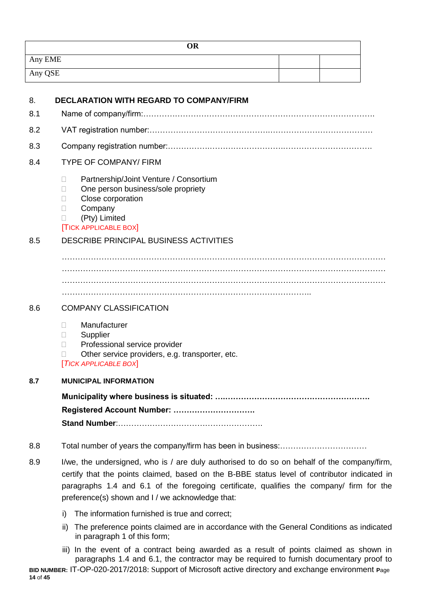| <b>OR</b> |  |
|-----------|--|
| Any EME   |  |
| Any QSE   |  |

| 8.  | <b>DECLARATION WITH REGARD TO COMPANY/FIRM</b>                                                                                                                                                                                                                                                                                              |
|-----|---------------------------------------------------------------------------------------------------------------------------------------------------------------------------------------------------------------------------------------------------------------------------------------------------------------------------------------------|
| 8.1 |                                                                                                                                                                                                                                                                                                                                             |
| 8.2 |                                                                                                                                                                                                                                                                                                                                             |
| 8.3 |                                                                                                                                                                                                                                                                                                                                             |
| 8.4 | <b>TYPE OF COMPANY/ FIRM</b>                                                                                                                                                                                                                                                                                                                |
|     | Partnership/Joint Venture / Consortium<br>$\Box$<br>One person business/sole propriety<br>п<br>Close corporation<br>П<br>Company<br>$\Box$<br>(Pty) Limited<br>П<br><b>TICK APPLICABLE BOX</b>                                                                                                                                              |
| 8.5 | DESCRIBE PRINCIPAL BUSINESS ACTIVITIES                                                                                                                                                                                                                                                                                                      |
|     |                                                                                                                                                                                                                                                                                                                                             |
| 8.6 | <b>COMPANY CLASSIFICATION</b>                                                                                                                                                                                                                                                                                                               |
|     | Manufacturer<br>П.<br>Supplier<br>Ш<br>Professional service provider<br>П<br>Other service providers, e.g. transporter, etc.<br><b>TICK APPLICABLE BOX</b>                                                                                                                                                                                  |
| 8.7 | <b>MUNICIPAL INFORMATION</b>                                                                                                                                                                                                                                                                                                                |
|     | Registered Account Number:                                                                                                                                                                                                                                                                                                                  |
| 8.8 |                                                                                                                                                                                                                                                                                                                                             |
| 8.9 | I/we, the undersigned, who is / are duly authorised to do so on behalf of the company/firm,<br>certify that the points claimed, based on the B-BBE status level of contributor indicated in<br>paragraphs 1.4 and 6.1 of the foregoing certificate, qualifies the company/ firm for the<br>preference(s) shown and I / we acknowledge that: |

i) The information furnished is true and correct;

**14** of **45**

- ii) The preference points claimed are in accordance with the General Conditions as indicated in paragraph 1 of this form;
- **BID NUMBER:** IT-OP-020-2017/2018: Support of Microsoft active directory and exchange environment **P**age iii) In the event of a contract being awarded as a result of points claimed as shown in paragraphs 1.4 and 6.1, the contractor may be required to furnish documentary proof to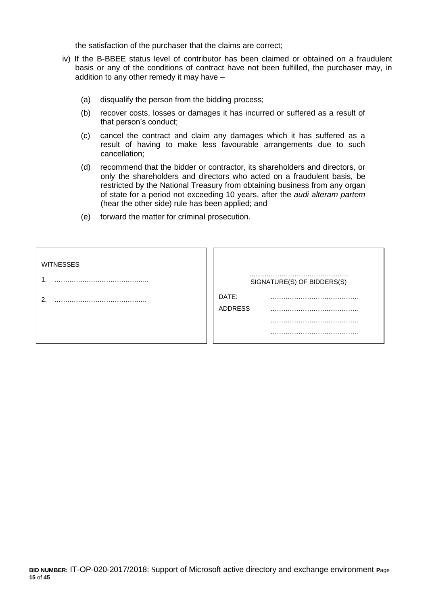the satisfaction of the purchaser that the claims are correct;

- iv) If the B-BBEE status level of contributor has been claimed or obtained on a fraudulent basis or any of the conditions of contract have not been fulfilled, the purchaser may, in addition to any other remedy it may have –
	- (a) disqualify the person from the bidding process;
	- (b) recover costs, losses or damages it has incurred or suffered as a result of that person's conduct;
	- (c) cancel the contract and claim any damages which it has suffered as a result of having to make less favourable arrangements due to such cancellation;
	- (d) recommend that the bidder or contractor, its shareholders and directors, or only the shareholders and directors who acted on a fraudulent basis, be restricted by the National Treasury from obtaining business from any organ of state for a period not exceeding 10 years, after the *audi alteram partem* (hear the other side) rule has been applied; and
	- (e) forward the matter for criminal prosecution.

| <b>WITNESSES</b> |                            |
|------------------|----------------------------|
|                  | SIGNATURE(S) OF BIDDERS(S) |
|                  | DATE:<br><b>ADDRESS</b>    |
|                  |                            |
|                  |                            |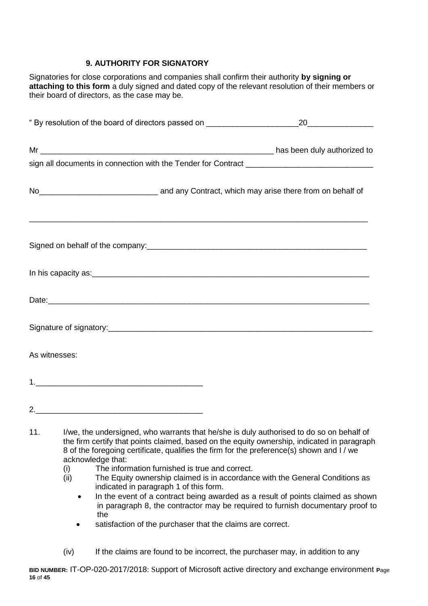# **9. AUTHORITY FOR SIGNATORY**

Signatories for close corporations and companies shall confirm their authority **by signing or attaching to this form** a duly signed and dated copy of the relevant resolution of their members or their board of directors, as the case may be.

|               | No <sub>___________________________________</sub> and any Contract, which may arise there from on behalf of                                                                                                                    |
|---------------|--------------------------------------------------------------------------------------------------------------------------------------------------------------------------------------------------------------------------------|
|               |                                                                                                                                                                                                                                |
|               |                                                                                                                                                                                                                                |
|               | Date: https://www.archive.com/communications/communications/communications/communications/communications/communications/communications/communications/communications/communications/communications/communications/communicatio |
|               |                                                                                                                                                                                                                                |
| As witnesses: |                                                                                                                                                                                                                                |
|               |                                                                                                                                                                                                                                |
|               |                                                                                                                                                                                                                                |
|               | the state of the construction of color computer that had also is ability anti-series due also as a habelf of                                                                                                                   |

- 11. I/we, the undersigned, who warrants that he/she is duly authorised to do so on behalf of the firm certify that points claimed, based on the equity ownership, indicated in paragraph 8 of the foregoing certificate, qualifies the firm for the preference(s) shown and I / we acknowledge that:
	- (i) The information furnished is true and correct.
	- (ii) The Equity ownership claimed is in accordance with the General Conditions as indicated in paragraph 1 of this form.
		- In the event of a contract being awarded as a result of points claimed as shown in paragraph 8, the contractor may be required to furnish documentary proof to the
		- satisfaction of the purchaser that the claims are correct.
	- (iv) If the claims are found to be incorrect, the purchaser may, in addition to any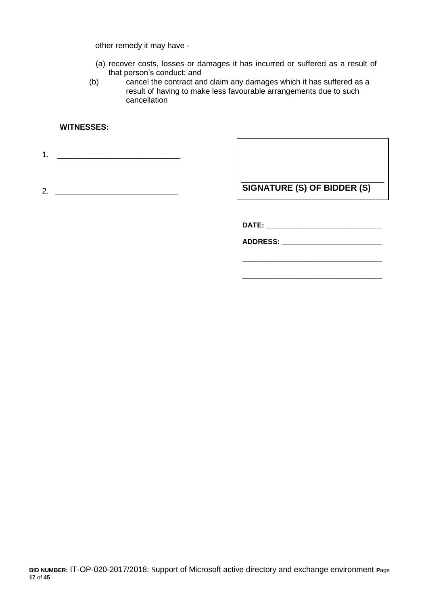other remedy it may have -

- (a) recover costs, losses or damages it has incurred or suffered as a result of that person's conduct; and
- (b) cancel the contract and claim any damages which it has suffered as a result of having to make less favourable arrangements due to such cancellation

#### **WITNESSES:**

1. \_\_\_\_\_\_\_\_\_\_\_\_\_\_\_\_\_\_\_\_\_\_\_\_\_\_\_\_

2. \_\_\_\_\_\_\_\_\_\_\_\_\_\_\_\_\_\_\_\_\_\_\_\_\_\_\_\_

**SIGNATURE (S) OF BIDDER (S)**

\_\_\_\_\_\_\_\_\_\_\_\_\_\_\_\_\_\_\_\_\_\_\_\_\_\_\_\_\_\_\_\_\_\_\_

\_\_\_\_\_\_\_\_\_\_\_\_\_\_\_\_\_\_\_\_\_\_\_\_\_\_\_\_\_\_\_\_\_\_\_

**DATE: \_\_\_\_\_\_\_\_\_\_\_\_\_\_\_\_\_\_\_\_\_\_\_\_\_\_\_\_\_**

**ADDRESS: \_\_\_\_\_\_\_\_\_\_\_\_\_\_\_\_\_\_\_\_\_\_\_\_\_**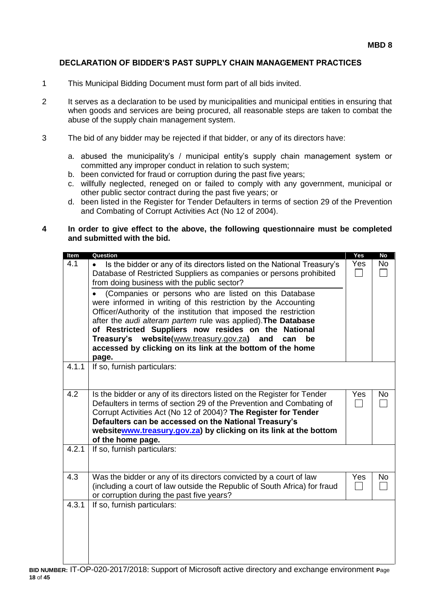#### **DECLARATION OF BIDDER'S PAST SUPPLY CHAIN MANAGEMENT PRACTICES**

- 1 This Municipal Bidding Document must form part of all bids invited.
- 2 It serves as a declaration to be used by municipalities and municipal entities in ensuring that when goods and services are being procured, all reasonable steps are taken to combat the abuse of the supply chain management system.
- 3 The bid of any bidder may be rejected if that bidder, or any of its directors have:
	- a. abused the municipality's / municipal entity's supply chain management system or committed any improper conduct in relation to such system;
	- b. been convicted for fraud or corruption during the past five years;
	- c. willfully neglected, reneged on or failed to comply with any government, municipal or other public sector contract during the past five years; or
	- d. been listed in the Register for Tender Defaulters in terms of section 29 of the Prevention and Combating of Corrupt Activities Act (No 12 of 2004).

#### **4 In order to give effect to the above, the following questionnaire must be completed and submitted with the bid.**

| Item  | Question                                                                                                                                                                                                                                                                                                                                                                                                                                                       | Yes                             | <b>No</b> |
|-------|----------------------------------------------------------------------------------------------------------------------------------------------------------------------------------------------------------------------------------------------------------------------------------------------------------------------------------------------------------------------------------------------------------------------------------------------------------------|---------------------------------|-----------|
| 4.1   | Is the bidder or any of its directors listed on the National Treasury's<br>Database of Restricted Suppliers as companies or persons prohibited<br>from doing business with the public sector?                                                                                                                                                                                                                                                                  | Yes<br>$\overline{\phantom{0}}$ | <b>No</b> |
|       | (Companies or persons who are listed on this Database<br>were informed in writing of this restriction by the Accounting<br>Officer/Authority of the institution that imposed the restriction<br>after the audi alteram partem rule was applied). The Database<br>of Restricted Suppliers now resides on the<br><b>National</b><br>website(www.treasury.gov.za)<br>Treasury's<br>and<br>can<br>be<br>accessed by clicking on its link at the bottom of the home |                                 |           |
| 4.1.1 | page.<br>If so, furnish particulars:                                                                                                                                                                                                                                                                                                                                                                                                                           |                                 |           |
| 4.2   | Is the bidder or any of its directors listed on the Register for Tender<br>Defaulters in terms of section 29 of the Prevention and Combating of<br>Corrupt Activities Act (No 12 of 2004)? The Register for Tender<br>Defaulters can be accessed on the National Treasury's<br>websitewww.treasury.gov.za) by clicking on its link at the bottom<br>of the home page.                                                                                          | Yes<br>$\sim$                   | No        |
| 4.2.1 | If so, furnish particulars:                                                                                                                                                                                                                                                                                                                                                                                                                                    |                                 |           |
| 4.3   | Was the bidder or any of its directors convicted by a court of law<br>(including a court of law outside the Republic of South Africa) for fraud<br>or corruption during the past five years?                                                                                                                                                                                                                                                                   | Yes<br>$\overline{\phantom{a}}$ | No        |
| 4.3.1 | If so, furnish particulars:                                                                                                                                                                                                                                                                                                                                                                                                                                    |                                 |           |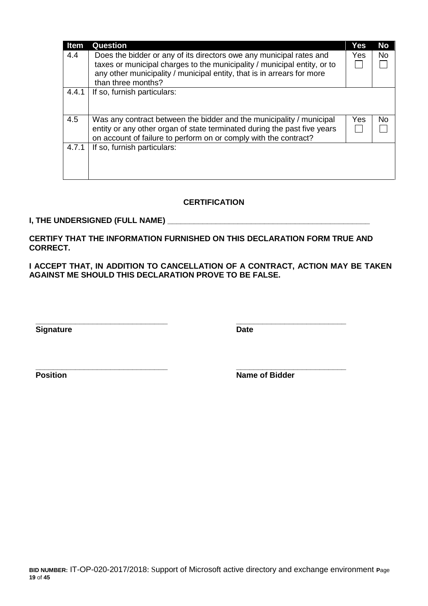| <b>Item</b> | <b>Question</b>                                                                                                                                                                                                           | Yes | <b>No</b> |
|-------------|---------------------------------------------------------------------------------------------------------------------------------------------------------------------------------------------------------------------------|-----|-----------|
| 4.4         | Does the bidder or any of its directors owe any municipal rates and<br>taxes or municipal charges to the municipality / municipal entity, or to<br>any other municipality / municipal entity, that is in arrears for more | Yes | No.       |
|             | than three months?                                                                                                                                                                                                        |     |           |
| 4.4.1       | If so, furnish particulars:                                                                                                                                                                                               |     |           |
| 4.5         | Was any contract between the bidder and the municipality / municipal<br>entity or any other organ of state terminated during the past five years<br>on account of failure to perform on or comply with the contract?      | Yes | No.       |
| 4.7.1       | If so, furnish particulars:                                                                                                                                                                                               |     |           |

#### **CERTIFICATION**

#### **I, THE UNDERSIGNED (FULL NAME) \_\_\_\_\_\_\_\_\_\_\_\_\_\_\_\_\_\_\_\_\_\_\_\_\_\_\_\_\_\_\_\_\_\_\_\_\_\_\_\_\_\_\_\_\_\_**

**CERTIFY THAT THE INFORMATION FURNISHED ON THIS DECLARATION FORM TRUE AND CORRECT.**

**\_\_\_\_\_\_\_\_\_\_\_\_\_\_\_\_\_\_\_\_\_\_\_\_\_\_\_\_\_\_ \_\_\_\_\_\_\_\_\_\_\_\_\_\_\_\_\_\_\_\_\_\_\_\_\_**

**\_\_\_\_\_\_\_\_\_\_\_\_\_\_\_\_\_\_\_\_\_\_\_\_\_\_\_\_\_\_ \_\_\_\_\_\_\_\_\_\_\_\_\_\_\_\_\_\_\_\_\_\_\_\_\_**

**I ACCEPT THAT, IN ADDITION TO CANCELLATION OF A CONTRACT, ACTION MAY BE TAKEN AGAINST ME SHOULD THIS DECLARATION PROVE TO BE FALSE.**

**Signature Date** 

**Position Name of Bidder**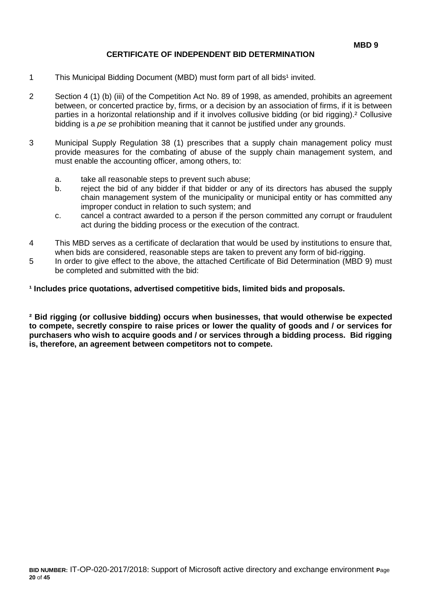#### **CERTIFICATE OF INDEPENDENT BID DETERMINATION**

- 1 This Municipal Bidding Document (MBD) must form part of all bids<sup>1</sup> invited.
- 2 Section 4 (1) (b) (iii) of the Competition Act No. 89 of 1998, as amended, prohibits an agreement between, or concerted practice by, firms, or a decision by an association of firms, if it is between parties in a horizontal relationship and if it involves collusive bidding (or bid rigging).² Collusive bidding is a *pe se* prohibition meaning that it cannot be justified under any grounds.
- 3 Municipal Supply Regulation 38 (1) prescribes that a supply chain management policy must provide measures for the combating of abuse of the supply chain management system, and must enable the accounting officer, among others, to:
	- a. take all reasonable steps to prevent such abuse;
	- b. reject the bid of any bidder if that bidder or any of its directors has abused the supply chain management system of the municipality or municipal entity or has committed any improper conduct in relation to such system; and
	- c. cancel a contract awarded to a person if the person committed any corrupt or fraudulent act during the bidding process or the execution of the contract.
- 4 This MBD serves as a certificate of declaration that would be used by institutions to ensure that, when bids are considered, reasonable steps are taken to prevent any form of bid-rigging.
- 5 In order to give effect to the above, the attached Certificate of Bid Determination (MBD 9) must be completed and submitted with the bid:

**¹ Includes price quotations, advertised competitive bids, limited bids and proposals.**

**² Bid rigging (or collusive bidding) occurs when businesses, that would otherwise be expected to compete, secretly conspire to raise prices or lower the quality of goods and / or services for purchasers who wish to acquire goods and / or services through a bidding process. Bid rigging is, therefore, an agreement between competitors not to compete.**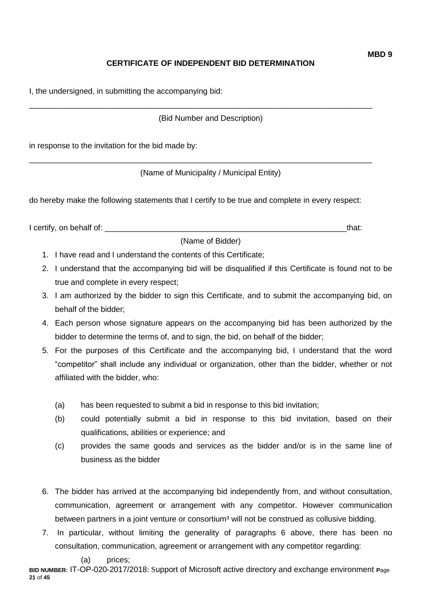# **CERTIFICATE OF INDEPENDENT BID DETERMINATION**

I, the undersigned, in submitting the accompanying bid:

(Bid Number and Description)

\_\_\_\_\_\_\_\_\_\_\_\_\_\_\_\_\_\_\_\_\_\_\_\_\_\_\_\_\_\_\_\_\_\_\_\_\_\_\_\_\_\_\_\_\_\_\_\_\_\_\_\_\_\_\_\_\_\_\_\_\_\_\_\_\_\_\_\_\_\_\_\_\_\_\_\_\_\_

\_\_\_\_\_\_\_\_\_\_\_\_\_\_\_\_\_\_\_\_\_\_\_\_\_\_\_\_\_\_\_\_\_\_\_\_\_\_\_\_\_\_\_\_\_\_\_\_\_\_\_\_\_\_\_\_\_\_\_\_\_\_\_\_\_\_\_\_\_\_\_\_\_\_\_\_\_\_

in response to the invitation for the bid made by:

(Name of Municipality / Municipal Entity)

do hereby make the following statements that I certify to be true and complete in every respect:

I certify, on behalf of: the state of the state of the state of the state of the state of the state of the state of the state of the state of the state of the state of the state of the state of the state of the state of th

(Name of Bidder)

- 1. I have read and I understand the contents of this Certificate;
- 2. I understand that the accompanying bid will be disqualified if this Certificate is found not to be true and complete in every respect;
- 3. I am authorized by the bidder to sign this Certificate, and to submit the accompanying bid, on behalf of the bidder;
- 4. Each person whose signature appears on the accompanying bid has been authorized by the bidder to determine the terms of, and to sign, the bid, on behalf of the bidder;
- 5. For the purposes of this Certificate and the accompanying bid, I understand that the word "competitor" shall include any individual or organization, other than the bidder, whether or not affiliated with the bidder, who:
	- (a) has been requested to submit a bid in response to this bid invitation;
	- (b) could potentially submit a bid in response to this bid invitation, based on their qualifications, abilities or experience; and
	- (c) provides the same goods and services as the bidder and/or is in the same line of business as the bidder
- 6. The bidder has arrived at the accompanying bid independently from, and without consultation, communication, agreement or arrangement with any competitor. However communication between partners in a joint venture or consortium<sup>3</sup> will not be construed as collusive bidding.
- 7. In particular, without limiting the generality of paragraphs 6 above, there has been no consultation, communication, agreement or arrangement with any competitor regarding:

#### (a) prices;

**BID NUMBER:** IT-OP-020-2017/2018: Support of Microsoft active directory and exchange environment **P**age **21** of **45**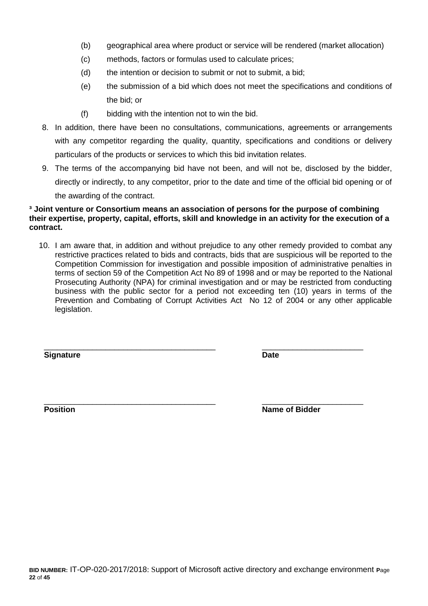- (b) geographical area where product or service will be rendered (market allocation)
- (c) methods, factors or formulas used to calculate prices;
- (d) the intention or decision to submit or not to submit, a bid;
- (e) the submission of a bid which does not meet the specifications and conditions of the bid; or
- (f) bidding with the intention not to win the bid.
- 8. In addition, there have been no consultations, communications, agreements or arrangements with any competitor regarding the quality, quantity, specifications and conditions or delivery particulars of the products or services to which this bid invitation relates.
- 9. The terms of the accompanying bid have not been, and will not be, disclosed by the bidder, directly or indirectly, to any competitor, prior to the date and time of the official bid opening or of the awarding of the contract.

#### **³ Joint venture or Consortium means an association of persons for the purpose of combining their expertise, property, capital, efforts, skill and knowledge in an activity for the execution of a contract.**

10. I am aware that, in addition and without prejudice to any other remedy provided to combat any restrictive practices related to bids and contracts, bids that are suspicious will be reported to the Competition Commission for investigation and possible imposition of administrative penalties in terms of section 59 of the Competition Act No 89 of 1998 and or may be reported to the National Prosecuting Authority (NPA) for criminal investigation and or may be restricted from conducting business with the public sector for a period not exceeding ten (10) years in terms of the Prevention and Combating of Corrupt Activities Act No 12 of 2004 or any other applicable legislation.

\_\_\_\_\_\_\_\_\_\_\_\_\_\_\_\_\_\_\_\_\_\_\_\_\_\_\_\_\_\_\_\_\_\_\_\_\_\_\_ \_\_\_\_\_\_\_\_\_\_\_\_\_\_\_\_\_\_\_\_\_\_\_

**Signature Date**

\_\_\_\_\_\_\_\_\_\_\_\_\_\_\_\_\_\_\_\_\_\_\_\_\_\_\_\_\_\_\_\_\_\_\_\_\_\_\_ \_\_\_\_\_\_\_\_\_\_\_\_\_\_\_\_\_\_\_\_\_\_\_ **Position Position Name of Bidder**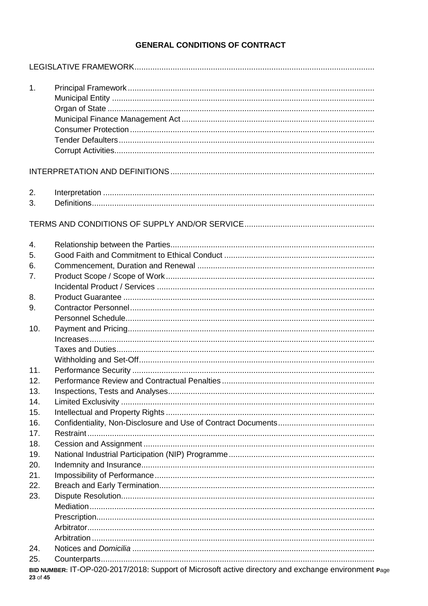# **GENERAL CONDITIONS OF CONTRACT**

| 1.       |                                                                                                      |
|----------|------------------------------------------------------------------------------------------------------|
|          |                                                                                                      |
| 2.       |                                                                                                      |
| 3.       |                                                                                                      |
|          |                                                                                                      |
| 4.       |                                                                                                      |
| 5.       |                                                                                                      |
| 6.       |                                                                                                      |
| 7.       |                                                                                                      |
|          |                                                                                                      |
| 8.       |                                                                                                      |
| 9.       |                                                                                                      |
|          |                                                                                                      |
| 10.      |                                                                                                      |
|          |                                                                                                      |
|          |                                                                                                      |
|          |                                                                                                      |
| 11.      |                                                                                                      |
| 12.      |                                                                                                      |
| 13.      |                                                                                                      |
| 14.      |                                                                                                      |
| 15.      |                                                                                                      |
| 16.      |                                                                                                      |
| 17.      |                                                                                                      |
| 18.      |                                                                                                      |
| 19.      |                                                                                                      |
| 20.      |                                                                                                      |
| 21.      |                                                                                                      |
| 22.      |                                                                                                      |
| 23.      |                                                                                                      |
|          |                                                                                                      |
|          |                                                                                                      |
|          |                                                                                                      |
|          |                                                                                                      |
| 24.      |                                                                                                      |
| 25.      |                                                                                                      |
| 23 of 45 | BID NUMBER: IT-OP-020-2017/2018: Support of Microsoft active directory and exchange environment Page |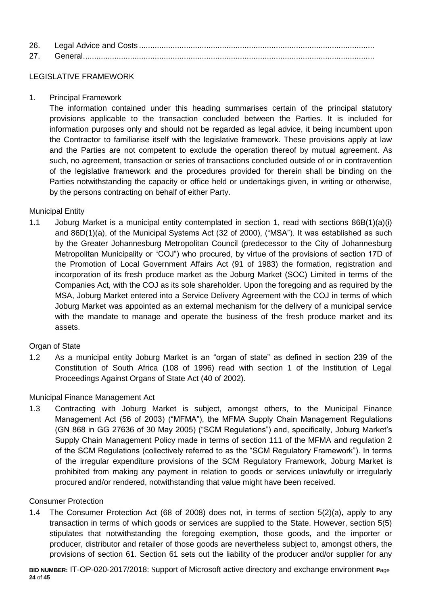| 26. |  |
|-----|--|
| 27  |  |

# LEGISLATIVE FRAMEWORK

1. Principal Framework

The information contained under this heading summarises certain of the principal statutory provisions applicable to the transaction concluded between the Parties. It is included for information purposes only and should not be regarded as legal advice, it being incumbent upon the Contractor to familiarise itself with the legislative framework. These provisions apply at law and the Parties are not competent to exclude the operation thereof by mutual agreement. As such, no agreement, transaction or series of transactions concluded outside of or in contravention of the legislative framework and the procedures provided for therein shall be binding on the Parties notwithstanding the capacity or office held or undertakings given, in writing or otherwise, by the persons contracting on behalf of either Party.

# Municipal Entity

1.1 Joburg Market is a municipal entity contemplated in section 1, read with sections 86B(1)(a)(i) and 86D(1)(a), of the Municipal Systems Act (32 of 2000), ("MSA"). It was established as such by the Greater Johannesburg Metropolitan Council (predecessor to the City of Johannesburg Metropolitan Municipality or "COJ") who procured, by virtue of the provisions of section 17D of the Promotion of Local Government Affairs Act (91 of 1983) the formation, registration and incorporation of its fresh produce market as the Joburg Market (SOC) Limited in terms of the Companies Act, with the COJ as its sole shareholder. Upon the foregoing and as required by the MSA, Joburg Market entered into a Service Delivery Agreement with the COJ in terms of which Joburg Market was appointed as an external mechanism for the delivery of a municipal service with the mandate to manage and operate the business of the fresh produce market and its assets.

# Organ of State

1.2 As a municipal entity Joburg Market is an "organ of state" as defined in section 239 of the Constitution of South Africa (108 of 1996) read with section 1 of the Institution of Legal Proceedings Against Organs of State Act (40 of 2002).

# Municipal Finance Management Act

1.3 Contracting with Joburg Market is subject, amongst others, to the Municipal Finance Management Act (56 of 2003) ("MFMA"), the MFMA Supply Chain Management Regulations (GN 868 in GG 27636 of 30 May 2005) ("SCM Regulations") and, specifically, Joburg Market's Supply Chain Management Policy made in terms of section 111 of the MFMA and regulation 2 of the SCM Regulations (collectively referred to as the "SCM Regulatory Framework"). In terms of the irregular expenditure provisions of the SCM Regulatory Framework, Joburg Market is prohibited from making any payment in relation to goods or services unlawfully or irregularly procured and/or rendered, notwithstanding that value might have been received.

# Consumer Protection

1.4 The Consumer Protection Act (68 of 2008) does not, in terms of section 5(2)(a), apply to any transaction in terms of which goods or services are supplied to the State. However, section 5(5) stipulates that notwithstanding the foregoing exemption, those goods, and the importer or producer, distributor and retailer of those goods are nevertheless subject to, amongst others, the provisions of section 61. Section 61 sets out the liability of the producer and/or supplier for any

**BID NUMBER:** IT-OP-020-2017/2018: Support of Microsoft active directory and exchange environment **P**age **24** of **45**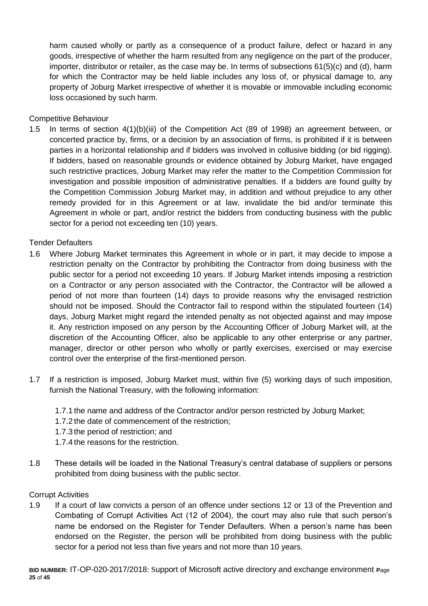harm caused wholly or partly as a consequence of a product failure, defect or hazard in any goods, irrespective of whether the harm resulted from any negligence on the part of the producer, importer, distributor or retailer, as the case may be. In terms of subsections 61(5)(c) and (d), harm for which the Contractor may be held liable includes any loss of, or physical damage to, any property of Joburg Market irrespective of whether it is movable or immovable including economic loss occasioned by such harm.

Competitive Behaviour

1.5 In terms of section 4(1)(b)(iii) of the Competition Act (89 of 1998) an agreement between, or concerted practice by, firms, or a decision by an association of firms, is prohibited if it is between parties in a horizontal relationship and if bidders was involved in collusive bidding (or bid rigging). If bidders, based on reasonable grounds or evidence obtained by Joburg Market, have engaged such restrictive practices, Joburg Market may refer the matter to the Competition Commission for investigation and possible imposition of administrative penalties. If a bidders are found guilty by the Competition Commission Joburg Market may, in addition and without prejudice to any other remedy provided for in this Agreement or at law, invalidate the bid and/or terminate this Agreement in whole or part, and/or restrict the bidders from conducting business with the public sector for a period not exceeding ten (10) years.

Tender Defaulters

- 1.6 Where Joburg Market terminates this Agreement in whole or in part, it may decide to impose a restriction penalty on the Contractor by prohibiting the Contractor from doing business with the public sector for a period not exceeding 10 years. If Joburg Market intends imposing a restriction on a Contractor or any person associated with the Contractor, the Contractor will be allowed a period of not more than fourteen (14) days to provide reasons why the envisaged restriction should not be imposed. Should the Contractor fail to respond within the stipulated fourteen (14) days, Joburg Market might regard the intended penalty as not objected against and may impose it. Any restriction imposed on any person by the Accounting Officer of Joburg Market will, at the discretion of the Accounting Officer, also be applicable to any other enterprise or any partner, manager, director or other person who wholly or partly exercises, exercised or may exercise control over the enterprise of the first-mentioned person.
- 1.7 If a restriction is imposed, Joburg Market must, within five (5) working days of such imposition, furnish the National Treasury, with the following information:
	- 1.7.1 the name and address of the Contractor and/or person restricted by Joburg Market;
	- 1.7.2 the date of commencement of the restriction;
	- 1.7.3 the period of restriction; and
	- 1.7.4 the reasons for the restriction.
- 1.8 These details will be loaded in the National Treasury's central database of suppliers or persons prohibited from doing business with the public sector.

#### Corrupt Activities

1.9 If a court of law convicts a person of an offence under sections 12 or 13 of the Prevention and Combating of Corrupt Activities Act (12 of 2004), the court may also rule that such person's name be endorsed on the Register for Tender Defaulters. When a person's name has been endorsed on the Register, the person will be prohibited from doing business with the public sector for a period not less than five years and not more than 10 years.

**BID NUMBER:** IT-OP-020-2017/2018: Support of Microsoft active directory and exchange environment **P**age **25** of **45**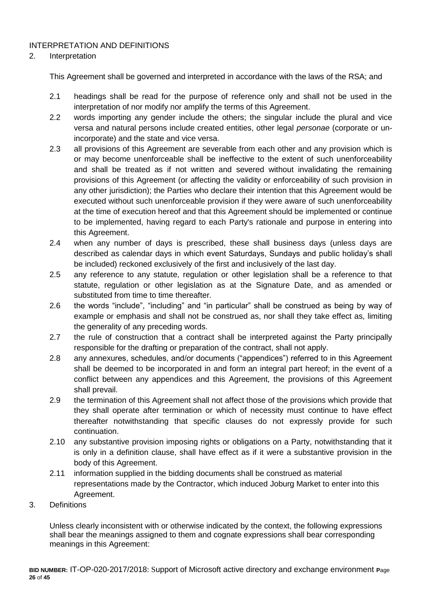# INTERPRETATION AND DEFINITIONS

#### 2. Interpretation

This Agreement shall be governed and interpreted in accordance with the laws of the RSA; and

- 2.1 headings shall be read for the purpose of reference only and shall not be used in the interpretation of nor modify nor amplify the terms of this Agreement.
- 2.2 words importing any gender include the others; the singular include the plural and vice versa and natural persons include created entities, other legal *personae* (corporate or unincorporate) and the state and vice versa.
- 2.3 all provisions of this Agreement are severable from each other and any provision which is or may become unenforceable shall be ineffective to the extent of such unenforceability and shall be treated as if not written and severed without invalidating the remaining provisions of this Agreement (or affecting the validity or enforceability of such provision in any other jurisdiction); the Parties who declare their intention that this Agreement would be executed without such unenforceable provision if they were aware of such unenforceability at the time of execution hereof and that this Agreement should be implemented or continue to be implemented, having regard to each Party's rationale and purpose in entering into this Agreement.
- 2.4 when any number of days is prescribed, these shall business days (unless days are described as calendar days in which event Saturdays, Sundays and public holiday's shall be included) reckoned exclusively of the first and inclusively of the last day.
- 2.5 any reference to any statute, regulation or other legislation shall be a reference to that statute, regulation or other legislation as at the Signature Date, and as amended or substituted from time to time thereafter.
- 2.6 the words "include", "including" and "in particular" shall be construed as being by way of example or emphasis and shall not be construed as, nor shall they take effect as, limiting the generality of any preceding words.
- 2.7 the rule of construction that a contract shall be interpreted against the Party principally responsible for the drafting or preparation of the contract, shall not apply.
- 2.8 any annexures, schedules, and/or documents ("appendices") referred to in this Agreement shall be deemed to be incorporated in and form an integral part hereof; in the event of a conflict between any appendices and this Agreement, the provisions of this Agreement shall prevail.
- 2.9 the termination of this Agreement shall not affect those of the provisions which provide that they shall operate after termination or which of necessity must continue to have effect thereafter notwithstanding that specific clauses do not expressly provide for such continuation.
- 2.10 any substantive provision imposing rights or obligations on a Party, notwithstanding that it is only in a definition clause, shall have effect as if it were a substantive provision in the body of this Agreement.
- 2.11 information supplied in the bidding documents shall be construed as material representations made by the Contractor, which induced Joburg Market to enter into this Agreement.
- 3. Definitions

Unless clearly inconsistent with or otherwise indicated by the context, the following expressions shall bear the meanings assigned to them and cognate expressions shall bear corresponding meanings in this Agreement: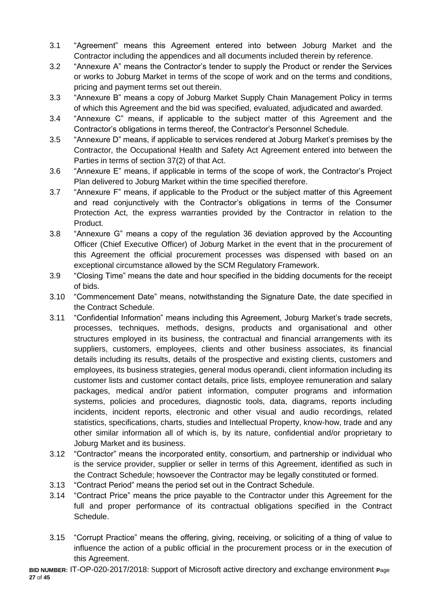- 3.1 "Agreement" means this Agreement entered into between Joburg Market and the Contractor including the appendices and all documents included therein by reference.
- 3.2 "Annexure A" means the Contractor's tender to supply the Product or render the Services or works to Joburg Market in terms of the scope of work and on the terms and conditions, pricing and payment terms set out therein.
- 3.3 "Annexure B" means a copy of Joburg Market Supply Chain Management Policy in terms of which this Agreement and the bid was specified, evaluated, adjudicated and awarded.
- 3.4 "Annexure C" means, if applicable to the subject matter of this Agreement and the Contractor's obligations in terms thereof, the Contractor's Personnel Schedule.
- 3.5 "Annexure D" means, if applicable to services rendered at Joburg Market's premises by the Contractor, the Occupational Health and Safety Act Agreement entered into between the Parties in terms of section 37(2) of that Act.
- 3.6 "Annexure E" means, if applicable in terms of the scope of work, the Contractor's Project Plan delivered to Joburg Market within the time specified therefore.
- 3.7 "Annexure F" means, if applicable to the Product or the subject matter of this Agreement and read conjunctively with the Contractor's obligations in terms of the Consumer Protection Act, the express warranties provided by the Contractor in relation to the Product.
- 3.8 "Annexure G" means a copy of the regulation 36 deviation approved by the Accounting Officer (Chief Executive Officer) of Joburg Market in the event that in the procurement of this Agreement the official procurement processes was dispensed with based on an exceptional circumstance allowed by the SCM Regulatory Framework.
- 3.9 "Closing Time" means the date and hour specified in the bidding documents for the receipt of bids.
- 3.10 "Commencement Date" means, notwithstanding the Signature Date, the date specified in the Contract Schedule.
- 3.11 "Confidential Information" means including this Agreement, Joburg Market's trade secrets, processes, techniques, methods, designs, products and organisational and other structures employed in its business, the contractual and financial arrangements with its suppliers, customers, employees, clients and other business associates, its financial details including its results, details of the prospective and existing clients, customers and employees, its business strategies, general modus operandi, client information including its customer lists and customer contact details, price lists, employee remuneration and salary packages, medical and/or patient information, computer programs and information systems, policies and procedures, diagnostic tools, data, diagrams, reports including incidents, incident reports, electronic and other visual and audio recordings, related statistics, specifications, charts, studies and Intellectual Property, know-how, trade and any other similar information all of which is, by its nature, confidential and/or proprietary to Joburg Market and its business.
- 3.12 "Contractor" means the incorporated entity, consortium, and partnership or individual who is the service provider, supplier or seller in terms of this Agreement, identified as such in the Contract Schedule; howsoever the Contractor may be legally constituted or formed.
- 3.13 "Contract Period" means the period set out in the Contract Schedule.
- 3.14 "Contract Price" means the price payable to the Contractor under this Agreement for the full and proper performance of its contractual obligations specified in the Contract Schedule.
- 3.15 "Corrupt Practice" means the offering, giving, receiving, or soliciting of a thing of value to influence the action of a public official in the procurement process or in the execution of this Agreement.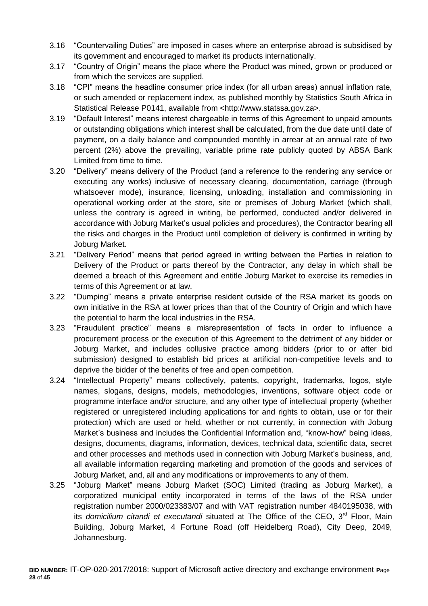- 3.16 "Countervailing Duties" are imposed in cases where an enterprise abroad is subsidised by its government and encouraged to market its products internationally.
- 3.17 "Country of Origin" means the place where the Product was mined, grown or produced or from which the services are supplied.
- 3.18 "CPI" means the headline consumer price index (for all urban areas) annual inflation rate, or such amended or replacement index, as published monthly by Statistics South Africa in Statistical Release P0141, available from <http://www.statssa.gov.za>.
- 3.19 "Default Interest" means interest chargeable in terms of this Agreement to unpaid amounts or outstanding obligations which interest shall be calculated, from the due date until date of payment, on a daily balance and compounded monthly in arrear at an annual rate of two percent (2%) above the prevailing, variable prime rate publicly quoted by ABSA Bank Limited from time to time.
- 3.20 "Delivery" means delivery of the Product (and a reference to the rendering any service or executing any works) inclusive of necessary clearing, documentation, carriage (through whatsoever mode), insurance, licensing, unloading, installation and commissioning in operational working order at the store, site or premises of Joburg Market (which shall, unless the contrary is agreed in writing, be performed, conducted and/or delivered in accordance with Joburg Market's usual policies and procedures), the Contractor bearing all the risks and charges in the Product until completion of delivery is confirmed in writing by Joburg Market.
- 3.21 "Delivery Period" means that period agreed in writing between the Parties in relation to Delivery of the Product or parts thereof by the Contractor, any delay in which shall be deemed a breach of this Agreement and entitle Joburg Market to exercise its remedies in terms of this Agreement or at law.
- 3.22 "Dumping" means a private enterprise resident outside of the RSA market its goods on own initiative in the RSA at lower prices than that of the Country of Origin and which have the potential to harm the local industries in the RSA.
- 3.23 "Fraudulent practice" means a misrepresentation of facts in order to influence a procurement process or the execution of this Agreement to the detriment of any bidder or Joburg Market, and includes collusive practice among bidders (prior to or after bid submission) designed to establish bid prices at artificial non-competitive levels and to deprive the bidder of the benefits of free and open competition.
- 3.24 "Intellectual Property" means collectively, patents, copyright, trademarks, logos, style names, slogans, designs, models, methodologies, inventions, software object code or programme interface and/or structure, and any other type of intellectual property (whether registered or unregistered including applications for and rights to obtain, use or for their protection) which are used or held, whether or not currently, in connection with Joburg Market's business and includes the Confidential Information and, "know-how" being ideas, designs, documents, diagrams, information, devices, technical data, scientific data, secret and other processes and methods used in connection with Joburg Market's business, and, all available information regarding marketing and promotion of the goods and services of Joburg Market, and, all and any modifications or improvements to any of them.
- 3.25 "Joburg Market" means Joburg Market (SOC) Limited (trading as Joburg Market), a corporatized municipal entity incorporated in terms of the laws of the RSA under registration number 2000/023383/07 and with VAT registration number 4840195038, with its *domicilium citandi et executandi* situated at The Office of the CEO, 3<sup>rd</sup> Floor, Main Building, Joburg Market, 4 Fortune Road (off Heidelberg Road), City Deep, 2049, Johannesburg.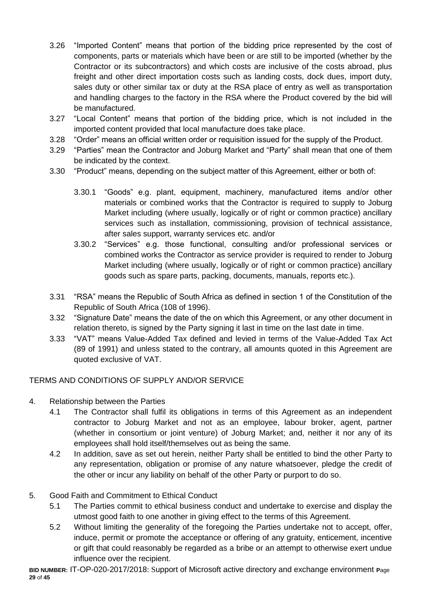- 3.26 "Imported Content" means that portion of the bidding price represented by the cost of components, parts or materials which have been or are still to be imported (whether by the Contractor or its subcontractors) and which costs are inclusive of the costs abroad, plus freight and other direct importation costs such as landing costs, dock dues, import duty, sales duty or other similar tax or duty at the RSA place of entry as well as transportation and handling charges to the factory in the RSA where the Product covered by the bid will be manufactured.
- 3.27 "Local Content" means that portion of the bidding price, which is not included in the imported content provided that local manufacture does take place.
- 3.28 "Order" means an official written order or requisition issued for the supply of the Product.
- 3.29 "Parties" mean the Contractor and Joburg Market and "Party" shall mean that one of them be indicated by the context.
- 3.30 "Product" means, depending on the subject matter of this Agreement, either or both of:
	- 3.30.1 "Goods" e.g. plant, equipment, machinery, manufactured items and/or other materials or combined works that the Contractor is required to supply to Joburg Market including (where usually, logically or of right or common practice) ancillary services such as installation, commissioning, provision of technical assistance, after sales support, warranty services etc. and/or
	- 3.30.2 "Services" e.g. those functional, consulting and/or professional services or combined works the Contractor as service provider is required to render to Joburg Market including (where usually, logically or of right or common practice) ancillary goods such as spare parts, packing, documents, manuals, reports etc.).
- 3.31 "RSA" means the Republic of South Africa as defined in section 1 of the Constitution of the Republic of South Africa (108 of 1996).
- 3.32 "Signature Date" means the date of the on which this Agreement, or any other document in relation thereto, is signed by the Party signing it last in time on the last date in time.
- 3.33 "VAT" means Value-Added Tax defined and levied in terms of the Value-Added Tax Act (89 of 1991) and unless stated to the contrary, all amounts quoted in this Agreement are quoted exclusive of VAT.

# TERMS AND CONDITIONS OF SUPPLY AND/OR SERVICE

- 4. Relationship between the Parties
	- 4.1 The Contractor shall fulfil its obligations in terms of this Agreement as an independent contractor to Joburg Market and not as an employee, labour broker, agent, partner (whether in consortium or joint venture) of Joburg Market; and, neither it nor any of its employees shall hold itself/themselves out as being the same.
	- 4.2 In addition, save as set out herein, neither Party shall be entitled to bind the other Party to any representation, obligation or promise of any nature whatsoever, pledge the credit of the other or incur any liability on behalf of the other Party or purport to do so.

# 5. Good Faith and Commitment to Ethical Conduct

- 5.1 The Parties commit to ethical business conduct and undertake to exercise and display the utmost good faith to one another in giving effect to the terms of this Agreement.
- 5.2 Without limiting the generality of the foregoing the Parties undertake not to accept, offer, induce, permit or promote the acceptance or offering of any gratuity, enticement, incentive or gift that could reasonably be regarded as a bribe or an attempt to otherwise exert undue influence over the recipient.

**BID NUMBER:** IT-OP-020-2017/2018: Support of Microsoft active directory and exchange environment **P**age **29** of **45**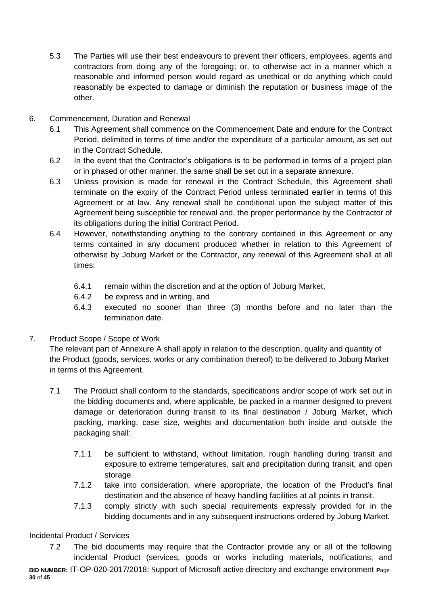- 5.3 The Parties will use their best endeavours to prevent their officers, employees, agents and contractors from doing any of the foregoing; or, to otherwise act in a manner which a reasonable and informed person would regard as unethical or do anything which could reasonably be expected to damage or diminish the reputation or business image of the other.
- 6. Commencement, Duration and Renewal
	- 6.1 This Agreement shall commence on the Commencement Date and endure for the Contract Period, delimited in terms of time and/or the expenditure of a particular amount, as set out in the Contract Schedule.
	- 6.2 In the event that the Contractor's obligations is to be performed in terms of a project plan or in phased or other manner, the same shall be set out in a separate annexure.
	- 6.3 Unless provision is made for renewal in the Contract Schedule, this Agreement shall terminate on the expiry of the Contract Period unless terminated earlier in terms of this Agreement or at law. Any renewal shall be conditional upon the subject matter of this Agreement being susceptible for renewal and, the proper performance by the Contractor of its obligations during the initial Contract Period.
	- 6.4 However, notwithstanding anything to the contrary contained in this Agreement or any terms contained in any document produced whether in relation to this Agreement of otherwise by Joburg Market or the Contractor, any renewal of this Agreement shall at all times:
		- 6.4.1 remain within the discretion and at the option of Joburg Market,
		- 6.4.2 be express and in writing, and
		- 6.4.3 executed no sooner than three (3) months before and no later than the termination date.
- 7. Product Scope / Scope of Work

The relevant part of Annexure A shall apply in relation to the description, quality and quantity of the Product (goods, services, works or any combination thereof) to be delivered to Joburg Market in terms of this Agreement.

- 7.1 The Product shall conform to the standards, specifications and/or scope of work set out in the bidding documents and, where applicable, be packed in a manner designed to prevent damage or deterioration during transit to its final destination / Joburg Market, which packing, marking, case size, weights and documentation both inside and outside the packaging shall:
	- 7.1.1 be sufficient to withstand, without limitation, rough handling during transit and exposure to extreme temperatures, salt and precipitation during transit, and open storage.
	- 7.1.2 take into consideration, where appropriate, the location of the Product's final destination and the absence of heavy handling facilities at all points in transit.
	- 7.1.3 comply strictly with such special requirements expressly provided for in the bidding documents and in any subsequent instructions ordered by Joburg Market.

# Incidental Product / Services

**BID NUMBER:** IT-OP-020-2017/2018: Support of Microsoft active directory and exchange environment **P**age **30** of **45** 7.2 The bid documents may require that the Contractor provide any or all of the following incidental Product (services, goods or works including materials, notifications, and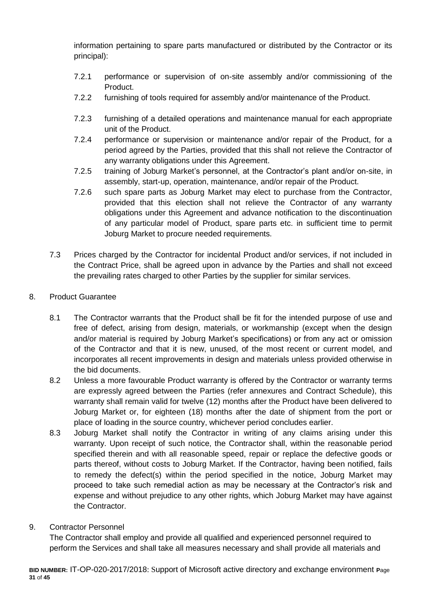information pertaining to spare parts manufactured or distributed by the Contractor or its principal):

- 7.2.1 performance or supervision of on-site assembly and/or commissioning of the Product.
- 7.2.2 furnishing of tools required for assembly and/or maintenance of the Product.
- 7.2.3 furnishing of a detailed operations and maintenance manual for each appropriate unit of the Product.
- 7.2.4 performance or supervision or maintenance and/or repair of the Product, for a period agreed by the Parties, provided that this shall not relieve the Contractor of any warranty obligations under this Agreement.
- 7.2.5 training of Joburg Market's personnel, at the Contractor's plant and/or on-site, in assembly, start-up, operation, maintenance, and/or repair of the Product.
- 7.2.6 such spare parts as Joburg Market may elect to purchase from the Contractor, provided that this election shall not relieve the Contractor of any warranty obligations under this Agreement and advance notification to the discontinuation of any particular model of Product, spare parts etc. in sufficient time to permit Joburg Market to procure needed requirements.
- 7.3 Prices charged by the Contractor for incidental Product and/or services, if not included in the Contract Price, shall be agreed upon in advance by the Parties and shall not exceed the prevailing rates charged to other Parties by the supplier for similar services.
- 8. Product Guarantee
	- 8.1 The Contractor warrants that the Product shall be fit for the intended purpose of use and free of defect, arising from design, materials, or workmanship (except when the design and/or material is required by Joburg Market's specifications) or from any act or omission of the Contractor and that it is new, unused, of the most recent or current model, and incorporates all recent improvements in design and materials unless provided otherwise in the bid documents.
	- 8.2 Unless a more favourable Product warranty is offered by the Contractor or warranty terms are expressly agreed between the Parties (refer annexures and Contract Schedule), this warranty shall remain valid for twelve (12) months after the Product have been delivered to Joburg Market or, for eighteen (18) months after the date of shipment from the port or place of loading in the source country, whichever period concludes earlier.
	- 8.3 Joburg Market shall notify the Contractor in writing of any claims arising under this warranty. Upon receipt of such notice, the Contractor shall, within the reasonable period specified therein and with all reasonable speed, repair or replace the defective goods or parts thereof, without costs to Joburg Market. If the Contractor, having been notified, fails to remedy the defect(s) within the period specified in the notice, Joburg Market may proceed to take such remedial action as may be necessary at the Contractor's risk and expense and without prejudice to any other rights, which Joburg Market may have against the Contractor.
- 9. Contractor Personnel

The Contractor shall employ and provide all qualified and experienced personnel required to perform the Services and shall take all measures necessary and shall provide all materials and

**BID NUMBER:** IT-OP-020-2017/2018: Support of Microsoft active directory and exchange environment **P**age **31** of **45**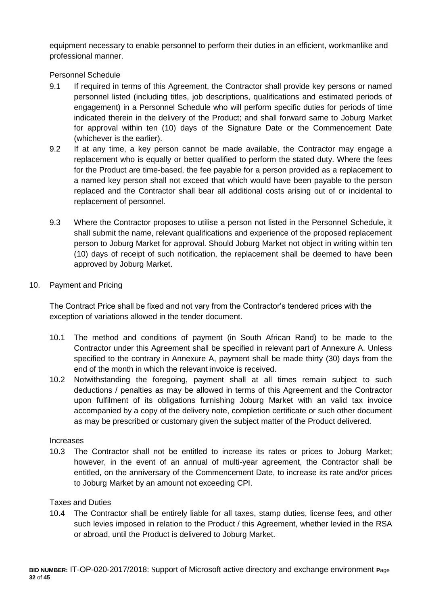equipment necessary to enable personnel to perform their duties in an efficient, workmanlike and professional manner.

Personnel Schedule

- 9.1 If required in terms of this Agreement, the Contractor shall provide key persons or named personnel listed (including titles, job descriptions, qualifications and estimated periods of engagement) in a Personnel Schedule who will perform specific duties for periods of time indicated therein in the delivery of the Product; and shall forward same to Joburg Market for approval within ten (10) days of the Signature Date or the Commencement Date (whichever is the earlier).
- 9.2 If at any time, a key person cannot be made available, the Contractor may engage a replacement who is equally or better qualified to perform the stated duty. Where the fees for the Product are time-based, the fee payable for a person provided as a replacement to a named key person shall not exceed that which would have been payable to the person replaced and the Contractor shall bear all additional costs arising out of or incidental to replacement of personnel.
- 9.3 Where the Contractor proposes to utilise a person not listed in the Personnel Schedule, it shall submit the name, relevant qualifications and experience of the proposed replacement person to Joburg Market for approval. Should Joburg Market not object in writing within ten (10) days of receipt of such notification, the replacement shall be deemed to have been approved by Joburg Market.
- 10. Payment and Pricing

The Contract Price shall be fixed and not vary from the Contractor's tendered prices with the exception of variations allowed in the tender document.

- 10.1 The method and conditions of payment (in South African Rand) to be made to the Contractor under this Agreement shall be specified in relevant part of Annexure A. Unless specified to the contrary in Annexure A, payment shall be made thirty (30) days from the end of the month in which the relevant invoice is received.
- 10.2 Notwithstanding the foregoing, payment shall at all times remain subject to such deductions / penalties as may be allowed in terms of this Agreement and the Contractor upon fulfilment of its obligations furnishing Joburg Market with an valid tax invoice accompanied by a copy of the delivery note, completion certificate or such other document as may be prescribed or customary given the subject matter of the Product delivered.

#### Increases

10.3 The Contractor shall not be entitled to increase its rates or prices to Joburg Market; however, in the event of an annual of multi-year agreement, the Contractor shall be entitled, on the anniversary of the Commencement Date, to increase its rate and/or prices to Joburg Market by an amount not exceeding CPI.

# Taxes and Duties

10.4 The Contractor shall be entirely liable for all taxes, stamp duties, license fees, and other such levies imposed in relation to the Product / this Agreement, whether levied in the RSA or abroad, until the Product is delivered to Joburg Market.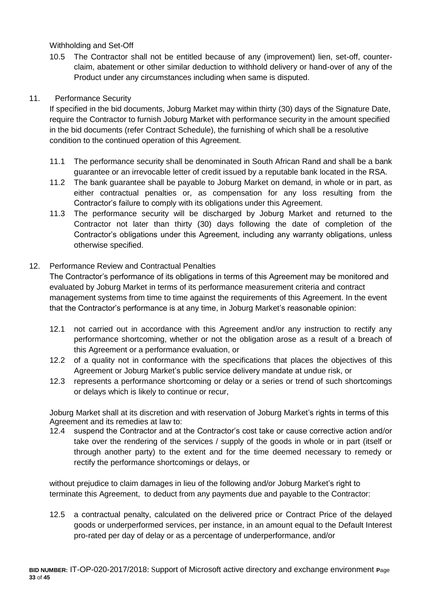Withholding and Set-Off

10.5 The Contractor shall not be entitled because of any (improvement) lien, set-off, counterclaim, abatement or other similar deduction to withhold delivery or hand-over of any of the Product under any circumstances including when same is disputed.

#### 11. Performance Security

If specified in the bid documents, Joburg Market may within thirty (30) days of the Signature Date, require the Contractor to furnish Joburg Market with performance security in the amount specified in the bid documents (refer Contract Schedule), the furnishing of which shall be a resolutive condition to the continued operation of this Agreement.

- 11.1 The performance security shall be denominated in South African Rand and shall be a bank guarantee or an irrevocable letter of credit issued by a reputable bank located in the RSA.
- 11.2 The bank guarantee shall be payable to Joburg Market on demand, in whole or in part, as either contractual penalties or, as compensation for any loss resulting from the Contractor's failure to comply with its obligations under this Agreement.
- 11.3 The performance security will be discharged by Joburg Market and returned to the Contractor not later than thirty (30) days following the date of completion of the Contractor's obligations under this Agreement, including any warranty obligations, unless otherwise specified.

#### 12. Performance Review and Contractual Penalties

The Contractor's performance of its obligations in terms of this Agreement may be monitored and evaluated by Joburg Market in terms of its performance measurement criteria and contract management systems from time to time against the requirements of this Agreement. In the event that the Contractor's performance is at any time, in Joburg Market's reasonable opinion:

- 12.1 not carried out in accordance with this Agreement and/or any instruction to rectify any performance shortcoming, whether or not the obligation arose as a result of a breach of this Agreement or a performance evaluation, or
- 12.2 of a quality not in conformance with the specifications that places the objectives of this Agreement or Joburg Market's public service delivery mandate at undue risk, or
- 12.3 represents a performance shortcoming or delay or a series or trend of such shortcomings or delays which is likely to continue or recur,

Joburg Market shall at its discretion and with reservation of Joburg Market's rights in terms of this Agreement and its remedies at law to:

12.4 suspend the Contractor and at the Contractor's cost take or cause corrective action and/or take over the rendering of the services / supply of the goods in whole or in part (itself or through another party) to the extent and for the time deemed necessary to remedy or rectify the performance shortcomings or delays, or

without prejudice to claim damages in lieu of the following and/or Joburg Market's right to terminate this Agreement, to deduct from any payments due and payable to the Contractor:

12.5 a contractual penalty, calculated on the delivered price or Contract Price of the delayed goods or underperformed services, per instance, in an amount equal to the Default Interest pro-rated per day of delay or as a percentage of underperformance, and/or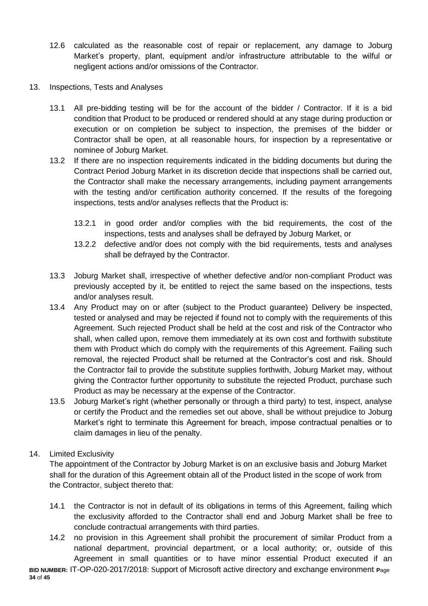- 12.6 calculated as the reasonable cost of repair or replacement, any damage to Joburg Market's property, plant, equipment and/or infrastructure attributable to the wilful or negligent actions and/or omissions of the Contractor.
- 13. Inspections, Tests and Analyses
	- 13.1 All pre-bidding testing will be for the account of the bidder / Contractor. If it is a bid condition that Product to be produced or rendered should at any stage during production or execution or on completion be subject to inspection, the premises of the bidder or Contractor shall be open, at all reasonable hours, for inspection by a representative or nominee of Joburg Market.
	- 13.2 If there are no inspection requirements indicated in the bidding documents but during the Contract Period Joburg Market in its discretion decide that inspections shall be carried out, the Contractor shall make the necessary arrangements, including payment arrangements with the testing and/or certification authority concerned. If the results of the foregoing inspections, tests and/or analyses reflects that the Product is:
		- 13.2.1 in good order and/or complies with the bid requirements, the cost of the inspections, tests and analyses shall be defrayed by Joburg Market, or
		- 13.2.2 defective and/or does not comply with the bid requirements, tests and analyses shall be defrayed by the Contractor.
	- 13.3 Joburg Market shall, irrespective of whether defective and/or non-compliant Product was previously accepted by it, be entitled to reject the same based on the inspections, tests and/or analyses result.
	- 13.4 Any Product may on or after (subject to the Product guarantee) Delivery be inspected, tested or analysed and may be rejected if found not to comply with the requirements of this Agreement. Such rejected Product shall be held at the cost and risk of the Contractor who shall, when called upon, remove them immediately at its own cost and forthwith substitute them with Product which do comply with the requirements of this Agreement. Failing such removal, the rejected Product shall be returned at the Contractor's cost and risk. Should the Contractor fail to provide the substitute supplies forthwith, Joburg Market may, without giving the Contractor further opportunity to substitute the rejected Product, purchase such Product as may be necessary at the expense of the Contractor.
	- 13.5 Joburg Market's right (whether personally or through a third party) to test, inspect, analyse or certify the Product and the remedies set out above, shall be without prejudice to Joburg Market's right to terminate this Agreement for breach, impose contractual penalties or to claim damages in lieu of the penalty.

# 14. Limited Exclusivity

The appointment of the Contractor by Joburg Market is on an exclusive basis and Joburg Market shall for the duration of this Agreement obtain all of the Product listed in the scope of work from the Contractor, subject thereto that:

- 14.1 the Contractor is not in default of its obligations in terms of this Agreement, failing which the exclusivity afforded to the Contractor shall end and Joburg Market shall be free to conclude contractual arrangements with third parties.
- **BID NUMBER:** IT-OP-020-2017/2018: Support of Microsoft active directory and exchange environment **P**age 14.2 no provision in this Agreement shall prohibit the procurement of similar Product from a national department, provincial department, or a local authority; or, outside of this Agreement in small quantities or to have minor essential Product executed if an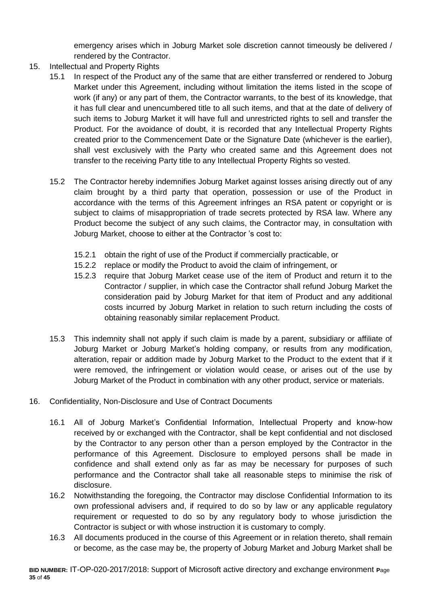emergency arises which in Joburg Market sole discretion cannot timeously be delivered / rendered by the Contractor.

- 15. Intellectual and Property Rights
	- 15.1 In respect of the Product any of the same that are either transferred or rendered to Joburg Market under this Agreement, including without limitation the items listed in the scope of work (if any) or any part of them, the Contractor warrants, to the best of its knowledge, that it has full clear and unencumbered title to all such items, and that at the date of delivery of such items to Joburg Market it will have full and unrestricted rights to sell and transfer the Product. For the avoidance of doubt, it is recorded that any Intellectual Property Rights created prior to the Commencement Date or the Signature Date (whichever is the earlier), shall vest exclusively with the Party who created same and this Agreement does not transfer to the receiving Party title to any Intellectual Property Rights so vested.
	- 15.2 The Contractor hereby indemnifies Joburg Market against losses arising directly out of any claim brought by a third party that operation, possession or use of the Product in accordance with the terms of this Agreement infringes an RSA patent or copyright or is subject to claims of misappropriation of trade secrets protected by RSA law. Where any Product become the subject of any such claims, the Contractor may, in consultation with Joburg Market, choose to either at the Contractor 's cost to:
		- 15.2.1 obtain the right of use of the Product if commercially practicable, or
		- 15.2.2 replace or modify the Product to avoid the claim of infringement, or
		- 15.2.3 require that Joburg Market cease use of the item of Product and return it to the Contractor / supplier, in which case the Contractor shall refund Joburg Market the consideration paid by Joburg Market for that item of Product and any additional costs incurred by Joburg Market in relation to such return including the costs of obtaining reasonably similar replacement Product.
	- 15.3 This indemnity shall not apply if such claim is made by a parent, subsidiary or affiliate of Joburg Market or Joburg Market's holding company, or results from any modification, alteration, repair or addition made by Joburg Market to the Product to the extent that if it were removed, the infringement or violation would cease, or arises out of the use by Joburg Market of the Product in combination with any other product, service or materials.
- 16. Confidentiality, Non-Disclosure and Use of Contract Documents
	- 16.1 All of Joburg Market's Confidential Information, Intellectual Property and know-how received by or exchanged with the Contractor, shall be kept confidential and not disclosed by the Contractor to any person other than a person employed by the Contractor in the performance of this Agreement. Disclosure to employed persons shall be made in confidence and shall extend only as far as may be necessary for purposes of such performance and the Contractor shall take all reasonable steps to minimise the risk of disclosure.
	- 16.2 Notwithstanding the foregoing, the Contractor may disclose Confidential Information to its own professional advisers and, if required to do so by law or any applicable regulatory requirement or requested to do so by any regulatory body to whose jurisdiction the Contractor is subject or with whose instruction it is customary to comply.
	- 16.3 All documents produced in the course of this Agreement or in relation thereto, shall remain or become, as the case may be, the property of Joburg Market and Joburg Market shall be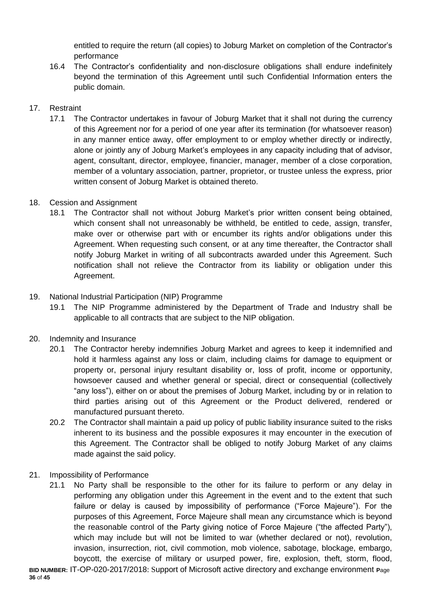entitled to require the return (all copies) to Joburg Market on completion of the Contractor's performance

16.4 The Contractor's confidentiality and non-disclosure obligations shall endure indefinitely beyond the termination of this Agreement until such Confidential Information enters the public domain.

# 17. Restraint

17.1 The Contractor undertakes in favour of Joburg Market that it shall not during the currency of this Agreement nor for a period of one year after its termination (for whatsoever reason) in any manner entice away, offer employment to or employ whether directly or indirectly, alone or jointly any of Joburg Market's employees in any capacity including that of advisor, agent, consultant, director, employee, financier, manager, member of a close corporation, member of a voluntary association, partner, proprietor, or trustee unless the express, prior written consent of Joburg Market is obtained thereto.

# 18. Cession and Assignment

18.1 The Contractor shall not without Joburg Market's prior written consent being obtained, which consent shall not unreasonably be withheld, be entitled to cede, assign, transfer, make over or otherwise part with or encumber its rights and/or obligations under this Agreement. When requesting such consent, or at any time thereafter, the Contractor shall notify Joburg Market in writing of all subcontracts awarded under this Agreement. Such notification shall not relieve the Contractor from its liability or obligation under this Agreement.

# 19. National Industrial Participation (NIP) Programme

19.1 The NIP Programme administered by the Department of Trade and Industry shall be applicable to all contracts that are subject to the NIP obligation.

# 20. Indemnity and Insurance

- 20.1 The Contractor hereby indemnifies Joburg Market and agrees to keep it indemnified and hold it harmless against any loss or claim, including claims for damage to equipment or property or, personal injury resultant disability or, loss of profit, income or opportunity, howsoever caused and whether general or special, direct or consequential (collectively "any loss"), either on or about the premises of Joburg Market, including by or in relation to third parties arising out of this Agreement or the Product delivered, rendered or manufactured pursuant thereto.
- 20.2 The Contractor shall maintain a paid up policy of public liability insurance suited to the risks inherent to its business and the possible exposures it may encounter in the execution of this Agreement. The Contractor shall be obliged to notify Joburg Market of any claims made against the said policy.
- 21. Impossibility of Performance
	- 21.1 No Party shall be responsible to the other for its failure to perform or any delay in performing any obligation under this Agreement in the event and to the extent that such failure or delay is caused by impossibility of performance ("Force Majeure"). For the purposes of this Agreement, Force Majeure shall mean any circumstance which is beyond the reasonable control of the Party giving notice of Force Majeure ("the affected Party"), which may include but will not be limited to war (whether declared or not), revolution, invasion, insurrection, riot, civil commotion, mob violence, sabotage, blockage, embargo, boycott, the exercise of military or usurped power, fire, explosion, theft, storm, flood,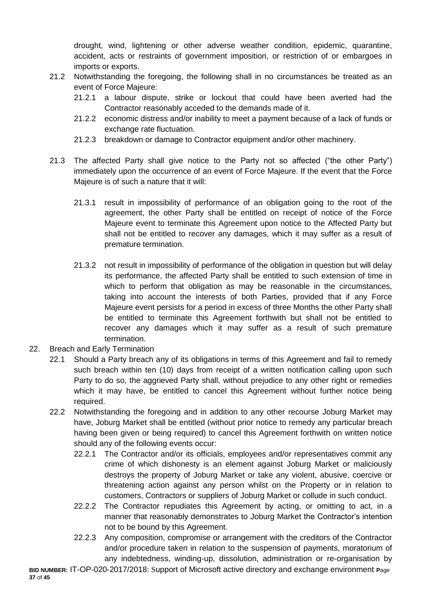drought, wind, lightening or other adverse weather condition, epidemic, quarantine, accident, acts or restraints of government imposition, or restriction of or embargoes in imports or exports.

- 21.2 Notwithstanding the foregoing, the following shall in no circumstances be treated as an event of Force Majeure:
	- 21.2.1 a labour dispute, strike or lockout that could have been averted had the Contractor reasonably acceded to the demands made of it.
	- 21.2.2 economic distress and/or inability to meet a payment because of a lack of funds or exchange rate fluctuation.
	- 21.2.3 breakdown or damage to Contractor equipment and/or other machinery.
- 21.3 The affected Party shall give notice to the Party not so affected ("the other Party") immediately upon the occurrence of an event of Force Majeure. If the event that the Force Majeure is of such a nature that it will:
	- 21.3.1 result in impossibility of performance of an obligation going to the root of the agreement, the other Party shall be entitled on receipt of notice of the Force Majeure event to terminate this Agreement upon notice to the Affected Party but shall not be entitled to recover any damages, which it may suffer as a result of premature termination.
	- 21.3.2 not result in impossibility of performance of the obligation in question but will delay its performance, the affected Party shall be entitled to such extension of time in which to perform that obligation as may be reasonable in the circumstances, taking into account the interests of both Parties, provided that if any Force Majeure event persists for a period in excess of three Months the other Party shall be entitled to terminate this Agreement forthwith but shall not be entitled to recover any damages which it may suffer as a result of such premature termination.
- 22. Breach and Early Termination
	- 22.1 Should a Party breach any of its obligations in terms of this Agreement and fail to remedy such breach within ten (10) days from receipt of a written notification calling upon such Party to do so, the aggrieved Party shall, without prejudice to any other right or remedies which it may have, be entitled to cancel this Agreement without further notice being required.
	- 22.2 Notwithstanding the foregoing and in addition to any other recourse Joburg Market may have, Joburg Market shall be entitled (without prior notice to remedy any particular breach having been given or being required) to cancel this Agreement forthwith on written notice should any of the following events occur:
		- 22.2.1 The Contractor and/or its officials, employees and/or representatives commit any crime of which dishonesty is an element against Joburg Market or maliciously destroys the property of Joburg Market or take any violent, abusive, coercive or threatening action against any person whilst on the Property or in relation to customers, Contractors or suppliers of Joburg Market or collude in such conduct.
		- 22.2.2 The Contractor repudiates this Agreement by acting, or omitting to act, in a manner that reasonably demonstrates to Joburg Market the Contractor's intention not to be bound by this Agreement.
		- 22.2.3 Any composition, compromise or arrangement with the creditors of the Contractor and/or procedure taken in relation to the suspension of payments, moratorium of any indebtedness, winding-up, dissolution, administration or re-organisation by

**BID NUMBER:** IT-OP-020-2017/2018: Support of Microsoft active directory and exchange environment **P**age **37** of **45**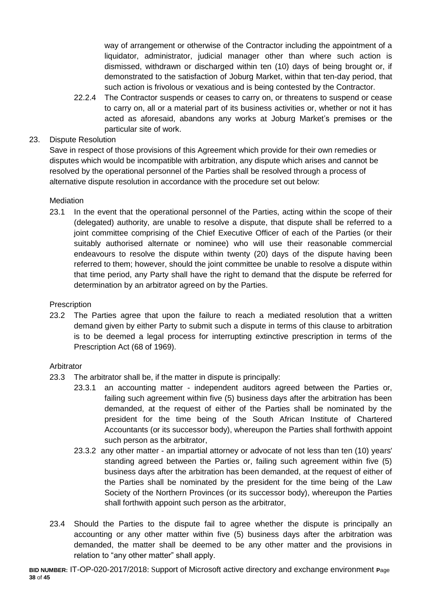way of arrangement or otherwise of the Contractor including the appointment of a liquidator, administrator, judicial manager other than where such action is dismissed, withdrawn or discharged within ten (10) days of being brought or, if demonstrated to the satisfaction of Joburg Market, within that ten-day period, that such action is frivolous or vexatious and is being contested by the Contractor.

22.2.4 The Contractor suspends or ceases to carry on, or threatens to suspend or cease to carry on, all or a material part of its business activities or, whether or not it has acted as aforesaid, abandons any works at Joburg Market's premises or the particular site of work.

# 23. Dispute Resolution

Save in respect of those provisions of this Agreement which provide for their own remedies or disputes which would be incompatible with arbitration, any dispute which arises and cannot be resolved by the operational personnel of the Parties shall be resolved through a process of alternative dispute resolution in accordance with the procedure set out below:

# **Mediation**

23.1 In the event that the operational personnel of the Parties, acting within the scope of their (delegated) authority, are unable to resolve a dispute, that dispute shall be referred to a joint committee comprising of the Chief Executive Officer of each of the Parties (or their suitably authorised alternate or nominee) who will use their reasonable commercial endeavours to resolve the dispute within twenty (20) days of the dispute having been referred to them; however, should the joint committee be unable to resolve a dispute within that time period, any Party shall have the right to demand that the dispute be referred for determination by an arbitrator agreed on by the Parties.

# **Prescription**

23.2 The Parties agree that upon the failure to reach a mediated resolution that a written demand given by either Party to submit such a dispute in terms of this clause to arbitration is to be deemed a legal process for interrupting extinctive prescription in terms of the Prescription Act (68 of 1969).

# Arbitrator

- 23.3 The arbitrator shall be, if the matter in dispute is principally:
	- 23.3.1 an accounting matter independent auditors agreed between the Parties or, failing such agreement within five (5) business days after the arbitration has been demanded, at the request of either of the Parties shall be nominated by the president for the time being of the South African Institute of Chartered Accountants (or its successor body), whereupon the Parties shall forthwith appoint such person as the arbitrator,
	- 23.3.2 any other matter an impartial attorney or advocate of not less than ten (10) years' standing agreed between the Parties or, failing such agreement within five (5) business days after the arbitration has been demanded, at the request of either of the Parties shall be nominated by the president for the time being of the Law Society of the Northern Provinces (or its successor body), whereupon the Parties shall forthwith appoint such person as the arbitrator,
- 23.4 Should the Parties to the dispute fail to agree whether the dispute is principally an accounting or any other matter within five (5) business days after the arbitration was demanded, the matter shall be deemed to be any other matter and the provisions in relation to "any other matter" shall apply.

**BID NUMBER:** IT-OP-020-2017/2018: Support of Microsoft active directory and exchange environment **P**age **38** of **45**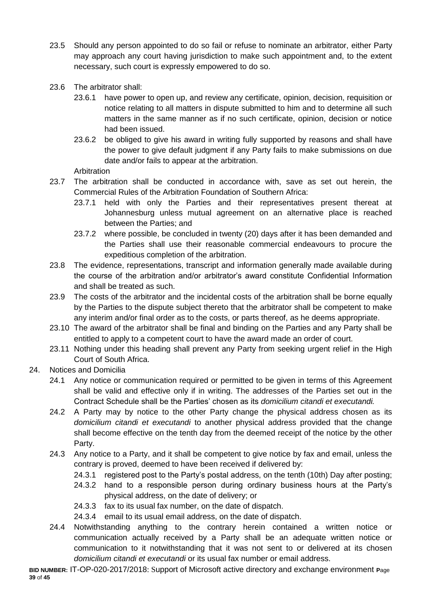- 23.5 Should any person appointed to do so fail or refuse to nominate an arbitrator, either Party may approach any court having jurisdiction to make such appointment and, to the extent necessary, such court is expressly empowered to do so.
- 23.6 The arbitrator shall:
	- 23.6.1 have power to open up, and review any certificate, opinion, decision, requisition or notice relating to all matters in dispute submitted to him and to determine all such matters in the same manner as if no such certificate, opinion, decision or notice had been issued.
	- 23.6.2 be obliged to give his award in writing fully supported by reasons and shall have the power to give default judgment if any Party fails to make submissions on due date and/or fails to appear at the arbitration.

Arbitration

- 23.7 The arbitration shall be conducted in accordance with, save as set out herein, the Commercial Rules of the Arbitration Foundation of Southern Africa:
	- 23.7.1 held with only the Parties and their representatives present thereat at Johannesburg unless mutual agreement on an alternative place is reached between the Parties; and
	- 23.7.2 where possible, be concluded in twenty (20) days after it has been demanded and the Parties shall use their reasonable commercial endeavours to procure the expeditious completion of the arbitration.
- 23.8 The evidence, representations, transcript and information generally made available during the course of the arbitration and/or arbitrator's award constitute Confidential Information and shall be treated as such.
- 23.9 The costs of the arbitrator and the incidental costs of the arbitration shall be borne equally by the Parties to the dispute subject thereto that the arbitrator shall be competent to make any interim and/or final order as to the costs, or parts thereof, as he deems appropriate.
- 23.10 The award of the arbitrator shall be final and binding on the Parties and any Party shall be entitled to apply to a competent court to have the award made an order of court.
- 23.11 Nothing under this heading shall prevent any Party from seeking urgent relief in the High Court of South Africa.
- 24. Notices and Domicilia
	- 24.1 Any notice or communication required or permitted to be given in terms of this Agreement shall be valid and effective only if in writing. The addresses of the Parties set out in the Contract Schedule shall be the Parties' chosen as its *domicilium citandi et executandi.*
	- 24.2 A Party may by notice to the other Party change the physical address chosen as its *domicilium citandi et executandi* to another physical address provided that the change shall become effective on the tenth day from the deemed receipt of the notice by the other Party.
	- 24.3 Any notice to a Party, and it shall be competent to give notice by fax and email, unless the contrary is proved, deemed to have been received if delivered by:
		- 24.3.1 registered post to the Party's postal address, on the tenth (10th) Day after posting;
		- 24.3.2 hand to a responsible person during ordinary business hours at the Party's physical address, on the date of delivery; or
		- 24.3.3 fax to its usual fax number, on the date of dispatch.
		- 24.3.4 email to its usual email address, on the date of dispatch.
	- 24.4 Notwithstanding anything to the contrary herein contained a written notice or communication actually received by a Party shall be an adequate written notice or communication to it notwithstanding that it was not sent to or delivered at its chosen *domicilium citandi et executandi* or its usual fax number or email address.

**BID NUMBER:** IT-OP-020-2017/2018: Support of Microsoft active directory and exchange environment **P**age **39** of **45**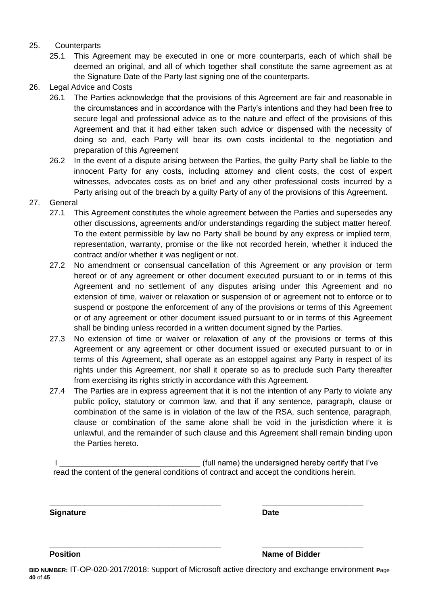#### 25. Counterparts

- 25.1 This Agreement may be executed in one or more counterparts, each of which shall be deemed an original, and all of which together shall constitute the same agreement as at the Signature Date of the Party last signing one of the counterparts.
- 26. Legal Advice and Costs
	- 26.1 The Parties acknowledge that the provisions of this Agreement are fair and reasonable in the circumstances and in accordance with the Party's intentions and they had been free to secure legal and professional advice as to the nature and effect of the provisions of this Agreement and that it had either taken such advice or dispensed with the necessity of doing so and, each Party will bear its own costs incidental to the negotiation and preparation of this Agreement
	- 26.2 In the event of a dispute arising between the Parties, the guilty Party shall be liable to the innocent Party for any costs, including attorney and client costs, the cost of expert witnesses, advocates costs as on brief and any other professional costs incurred by a Party arising out of the breach by a guilty Party of any of the provisions of this Agreement.
- 27. General
	- 27.1 This Agreement constitutes the whole agreement between the Parties and supersedes any other discussions, agreements and/or understandings regarding the subject matter hereof. To the extent permissible by law no Party shall be bound by any express or implied term, representation, warranty, promise or the like not recorded herein, whether it induced the contract and/or whether it was negligent or not.
	- 27.2 No amendment or consensual cancellation of this Agreement or any provision or term hereof or of any agreement or other document executed pursuant to or in terms of this Agreement and no settlement of any disputes arising under this Agreement and no extension of time, waiver or relaxation or suspension of or agreement not to enforce or to suspend or postpone the enforcement of any of the provisions or terms of this Agreement or of any agreement or other document issued pursuant to or in terms of this Agreement shall be binding unless recorded in a written document signed by the Parties.
	- 27.3 No extension of time or waiver or relaxation of any of the provisions or terms of this Agreement or any agreement or other document issued or executed pursuant to or in terms of this Agreement, shall operate as an estoppel against any Party in respect of its rights under this Agreement, nor shall it operate so as to preclude such Party thereafter from exercising its rights strictly in accordance with this Agreement.
	- 27.4 The Parties are in express agreement that it is not the intention of any Party to violate any public policy, statutory or common law, and that if any sentence, paragraph, clause or combination of the same is in violation of the law of the RSA, such sentence, paragraph, clause or combination of the same alone shall be void in the jurisdiction where it is unlawful, and the remainder of such clause and this Agreement shall remain binding upon the Parties hereto.

I Letterman the state of the undersigned hereby certify that I've read the content of the general conditions of contract and accept the conditions herein.

\_\_\_\_\_\_\_\_\_\_\_\_\_\_\_\_\_\_\_\_\_\_\_\_\_\_\_\_\_\_\_\_\_\_\_\_\_\_\_ \_\_\_\_\_\_\_\_\_\_\_\_\_\_\_\_\_\_\_\_\_\_\_

\_\_\_\_\_\_\_\_\_\_\_\_\_\_\_\_\_\_\_\_\_\_\_\_\_\_\_\_\_\_\_\_\_\_\_\_\_\_\_ \_\_\_\_\_\_\_\_\_\_\_\_\_\_\_\_\_\_\_\_\_\_\_

**Signature Date**

**Position Position Name of Bidder**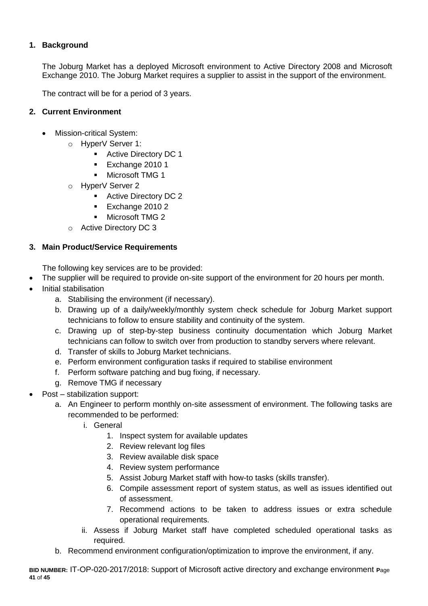# **1. Background**

The Joburg Market has a deployed Microsoft environment to Active Directory 2008 and Microsoft Exchange 2010. The Joburg Market requires a supplier to assist in the support of the environment.

The contract will be for a period of 3 years.

#### **2. Current Environment**

- Mission-critical System:
	- o HyperV Server 1:
		- **Active Directory DC 1**
		- **Exchange 2010 1**
		- **Nicrosoft TMG 1**
	- o HyperV Server 2
		- **Active Directory DC 2**
		- **Exchange 2010 2**
		- **Microsoft TMG 2**
	- o Active Directory DC 3

#### **3. Main Product/Service Requirements**

The following key services are to be provided:

- The supplier will be required to provide on-site support of the environment for 20 hours per month.
- Initial stabilisation
	- a. Stabilising the environment (if necessary).
	- b. Drawing up of a daily/weekly/monthly system check schedule for Joburg Market support technicians to follow to ensure stability and continuity of the system.
	- c. Drawing up of step-by-step business continuity documentation which Joburg Market technicians can follow to switch over from production to standby servers where relevant.
	- d. Transfer of skills to Joburg Market technicians.
	- e. Perform environment configuration tasks if required to stabilise environment
	- f. Perform software patching and bug fixing, if necessary.
	- g. Remove TMG if necessary
- Post stabilization support:
	- a. An Engineer to perform monthly on-site assessment of environment. The following tasks are recommended to be performed:
		- i. General
			- 1. Inspect system for available updates
			- 2. Review relevant log files
			- 3. Review available disk space
			- 4. Review system performance
			- 5. Assist Joburg Market staff with how-to tasks (skills transfer).
			- 6. Compile assessment report of system status, as well as issues identified out of assessment.
			- 7. Recommend actions to be taken to address issues or extra schedule operational requirements.
		- ii. Assess if Joburg Market staff have completed scheduled operational tasks as required.
	- b. Recommend environment configuration/optimization to improve the environment, if any.

**BID NUMBER:** IT-OP-020-2017/2018: Support of Microsoft active directory and exchange environment **P**age **41** of **45**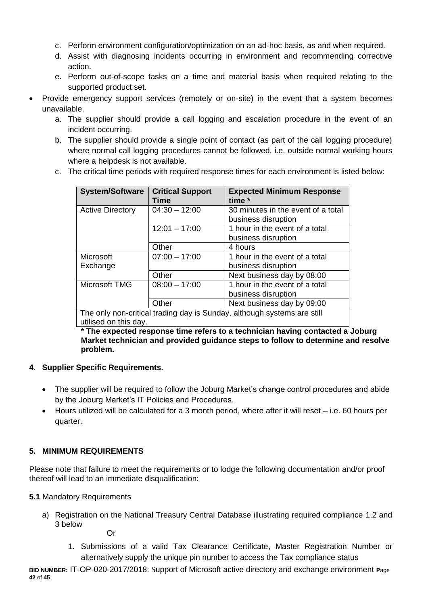- c. Perform environment configuration/optimization on an ad-hoc basis, as and when required.
- d. Assist with diagnosing incidents occurring in environment and recommending corrective action.
- e. Perform out-of-scope tasks on a time and material basis when required relating to the supported product set.
- Provide emergency support services (remotely or on-site) in the event that a system becomes unavailable.
	- a. The supplier should provide a call logging and escalation procedure in the event of an incident occurring.
	- b. The supplier should provide a single point of contact (as part of the call logging procedure) where normal call logging procedures cannot be followed, i.e. outside normal working hours where a helpdesk is not available.
	- c. The critical time periods with required response times for each environment is listed below:

| <b>System/Software</b>                                                  | <b>Critical Support</b> | <b>Expected Minimum Response</b>   |  |  |  |  |  |
|-------------------------------------------------------------------------|-------------------------|------------------------------------|--|--|--|--|--|
|                                                                         | Time                    | time *                             |  |  |  |  |  |
| <b>Active Directory</b>                                                 | $04:30 - 12:00$         | 30 minutes in the event of a total |  |  |  |  |  |
|                                                                         |                         | business disruption                |  |  |  |  |  |
|                                                                         | $12:01 - 17:00$         | 1 hour in the event of a total     |  |  |  |  |  |
|                                                                         |                         | business disruption                |  |  |  |  |  |
|                                                                         | Other                   | 4 hours                            |  |  |  |  |  |
| <b>Microsoft</b>                                                        | $07:00 - 17:00$         | 1 hour in the event of a total     |  |  |  |  |  |
| Exchange                                                                |                         | business disruption                |  |  |  |  |  |
|                                                                         | Other                   | Next business day by 08:00         |  |  |  |  |  |
| Microsoft TMG                                                           | $08:00 - 17:00$         | 1 hour in the event of a total     |  |  |  |  |  |
|                                                                         |                         | business disruption                |  |  |  |  |  |
|                                                                         | Other                   | Next business day by 09:00         |  |  |  |  |  |
| The only non-critical trading day is Sunday, although systems are still |                         |                                    |  |  |  |  |  |
| الروسام المقاطات مرتم المرضوع فالقرار                                   |                         |                                    |  |  |  |  |  |

utilised on this day.

**\* The expected response time refers to a technician having contacted a Joburg Market technician and provided guidance steps to follow to determine and resolve problem.** 

#### **4. Supplier Specific Requirements.**

- The supplier will be required to follow the Joburg Market's change control procedures and abide by the Joburg Market's IT Policies and Procedures.
- Hours utilized will be calculated for a 3 month period, where after it will reset i.e. 60 hours per quarter.

# **5. MINIMUM REQUIREMENTS**

Please note that failure to meet the requirements or to lodge the following documentation and/or proof thereof will lead to an immediate disqualification:

**5.1** Mandatory Requirements

a) Registration on the National Treasury Central Database illustrating required compliance 1,2 and 3 below

Or

1. Submissions of a valid Tax Clearance Certificate, Master Registration Number or alternatively supply the unique pin number to access the Tax compliance status

**BID NUMBER:** IT-OP-020-2017/2018: Support of Microsoft active directory and exchange environment **P**age **42** of **45**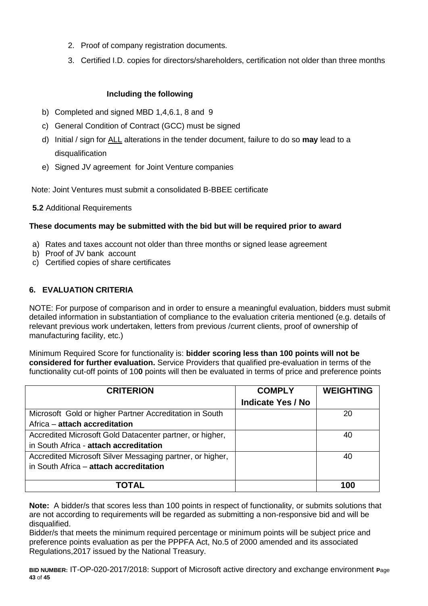- 2. Proof of company registration documents.
- 3. Certified I.D. copies for directors/shareholders, certification not older than three months

#### **Including the following**

- b) Completed and signed MBD 1,4,6.1, 8 and 9
- c) General Condition of Contract (GCC) must be signed
- d) Initial / sign for ALL alterations in the tender document, failure to do so **may** lead to a disqualification
- e) Signed JV agreement for Joint Venture companies

Note: Joint Ventures must submit a consolidated B-BBEE certificate

**5.2** Additional Requirements

#### **These documents may be submitted with the bid but will be required prior to award**

- a) Rates and taxes account not older than three months or signed lease agreement
- b) Proof of JV bank account
- c) Certified copies of share certificates

# **6. EVALUATION CRITERIA**

NOTE: For purpose of comparison and in order to ensure a meaningful evaluation, bidders must submit detailed information in substantiation of compliance to the evaluation criteria mentioned (e.g. details of relevant previous work undertaken, letters from previous /current clients, proof of ownership of manufacturing facility, etc.)

Minimum Required Score for functionality is: **bidder scoring less than 100 points will not be considered for further evaluation.** Service Providers that qualified pre-evaluation in terms of the functionality cut-off points of 10**0** points will then be evaluated in terms of price and preference points

| <b>CRITERION</b>                                          | <b>COMPLY</b>            | <b>WEIGHTING</b> |
|-----------------------------------------------------------|--------------------------|------------------|
|                                                           | <b>Indicate Yes / No</b> |                  |
| Microsoft Gold or higher Partner Accreditation in South   |                          | 20               |
| Africa – attach accreditation                             |                          |                  |
| Accredited Microsoft Gold Datacenter partner, or higher,  |                          | 40               |
| in South Africa - attach accreditation                    |                          |                  |
| Accredited Microsoft Silver Messaging partner, or higher, |                          | 40               |
| in South Africa - attach accreditation                    |                          |                  |
|                                                           |                          |                  |
| ΤΟΤΑΙ                                                     |                          | 100              |

**Note:** A bidder/s that scores less than 100 points in respect of functionality, or submits solutions that are not according to requirements will be regarded as submitting a non-responsive bid and will be disqualified.

Bidder/s that meets the minimum required percentage or minimum points will be subject price and preference points evaluation as per the PPPFA Act, No.5 of 2000 amended and its associated Regulations,2017 issued by the National Treasury.

**BID NUMBER:** IT-OP-020-2017/2018: Support of Microsoft active directory and exchange environment **P**age **43** of **45**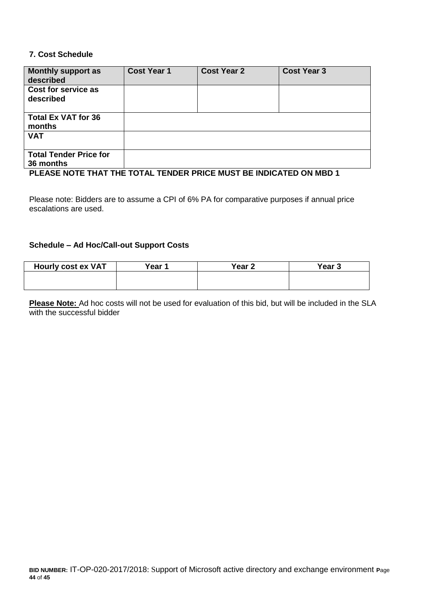#### **7. Cost Schedule**

| Monthly support as<br>described                                    | <b>Cost Year 1</b> | <b>Cost Year 2</b> | <b>Cost Year 3</b> |
|--------------------------------------------------------------------|--------------------|--------------------|--------------------|
| Cost for service as<br>described                                   |                    |                    |                    |
| <b>Total Ex VAT for 36</b><br>months                               |                    |                    |                    |
| <b>VAT</b>                                                         |                    |                    |                    |
| <b>Total Tender Price for</b>                                      |                    |                    |                    |
| 36 months                                                          |                    |                    |                    |
| PLEASE NOTE THAT THE TOTAL TENDER PRICE MUST BE INDICATED ON MBD 1 |                    |                    |                    |

Please note: Bidders are to assume a CPI of 6% PA for comparative purposes if annual price escalations are used.

#### **Schedule – Ad Hoc/Call-out Support Costs**

| <b>Hourly cost ex VAT</b> | Year 1 | Year <sub>2</sub> | Year <sub>3</sub> |
|---------------------------|--------|-------------------|-------------------|
|                           |        |                   |                   |
|                           |        |                   |                   |

**Please Note:** Ad hoc costs will not be used for evaluation of this bid, but will be included in the SLA with the successful bidder